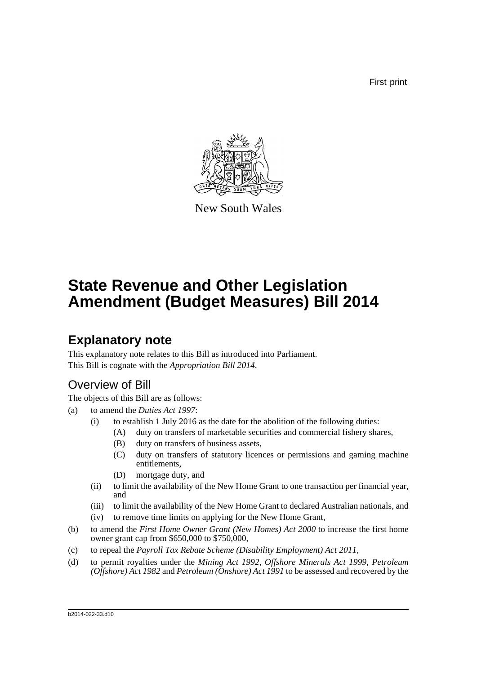First print



New South Wales

# **State Revenue and Other Legislation Amendment (Budget Measures) Bill 2014**

## **Explanatory note**

This explanatory note relates to this Bill as introduced into Parliament. This Bill is cognate with the *Appropriation Bill 2014*.

## Overview of Bill

The objects of this Bill are as follows:

- (a) to amend the *Duties Act 1997*:
	- (i) to establish 1 July 2016 as the date for the abolition of the following duties:
		- (A) duty on transfers of marketable securities and commercial fishery shares,
			- (B) duty on transfers of business assets,
			- (C) duty on transfers of statutory licences or permissions and gaming machine entitlements,
			- (D) mortgage duty, and
	- (ii) to limit the availability of the New Home Grant to one transaction per financial year, and
	- (iii) to limit the availability of the New Home Grant to declared Australian nationals, and (iv) to remove time limits on applying for the New Home Grant,
- (b) to amend the *First Home Owner Grant (New Homes) Act 2000* to increase the first home owner grant cap from \$650,000 to \$750,000,
- (c) to repeal the *Payroll Tax Rebate Scheme (Disability Employment) Act 2011*,
- (d) to permit royalties under the *Mining Act 1992*, *Offshore Minerals Act 1999*, *Petroleum (Offshore) Act 1982* and *Petroleum (Onshore) Act 1991* to be assessed and recovered by the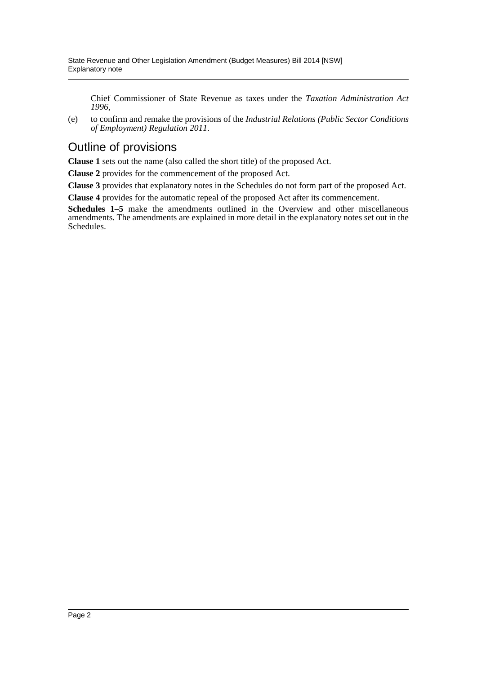Chief Commissioner of State Revenue as taxes under the *Taxation Administration Act 1996*,

(e) to confirm and remake the provisions of the *Industrial Relations (Public Sector Conditions of Employment) Regulation 2011*.

## Outline of provisions

**Clause 1** sets out the name (also called the short title) of the proposed Act.

**Clause 2** provides for the commencement of the proposed Act.

**Clause 3** provides that explanatory notes in the Schedules do not form part of the proposed Act.

**Clause 4** provides for the automatic repeal of the proposed Act after its commencement.

**Schedules 1–5** make the amendments outlined in the Overview and other miscellaneous amendments. The amendments are explained in more detail in the explanatory notes set out in the Schedules.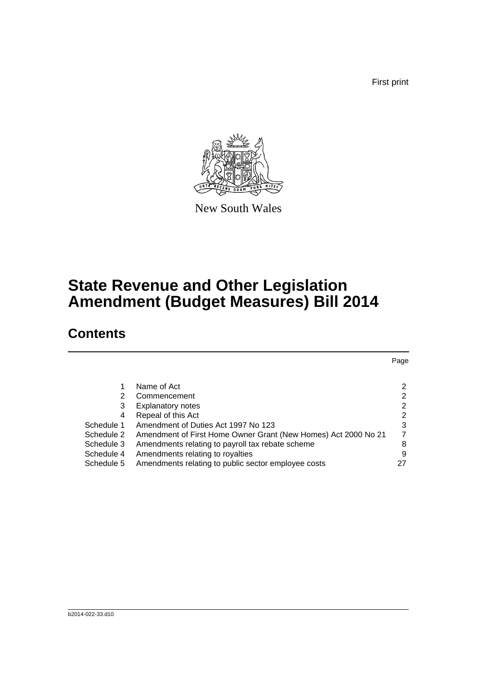First print



New South Wales

# **State Revenue and Other Legislation Amendment (Budget Measures) Bill 2014**

## **Contents**

|                                                                | Page |
|----------------------------------------------------------------|------|
|                                                                |      |
| Name of Act                                                    | 2    |
| Commencement                                                   | 2    |
| <b>Explanatory notes</b>                                       | 2    |
| Repeal of this Act                                             | 2    |
| Amendment of Duties Act 1997 No 123                            | 3    |
| Amendment of First Home Owner Grant (New Homes) Act 2000 No 21 | 7    |
| Amendments relating to payroll tax rebate scheme               | 8    |
| Amendments relating to royalties                               | 9    |
| Amendments relating to public sector employee costs            | 27   |
|                                                                |      |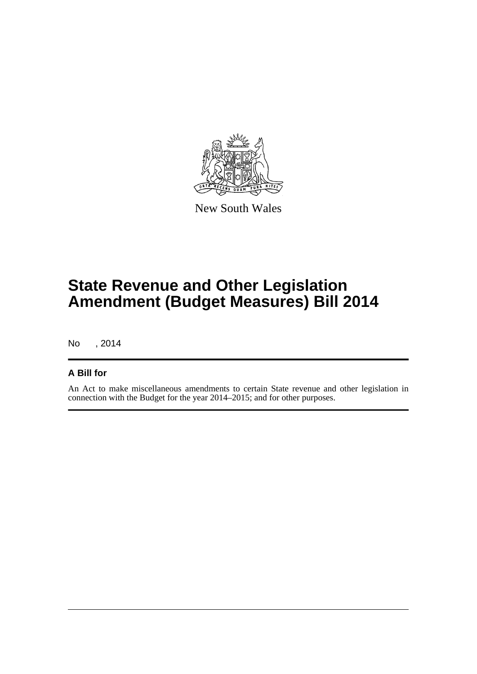

New South Wales

# **State Revenue and Other Legislation Amendment (Budget Measures) Bill 2014**

No , 2014

## **A Bill for**

An Act to make miscellaneous amendments to certain State revenue and other legislation in connection with the Budget for the year 2014–2015; and for other purposes.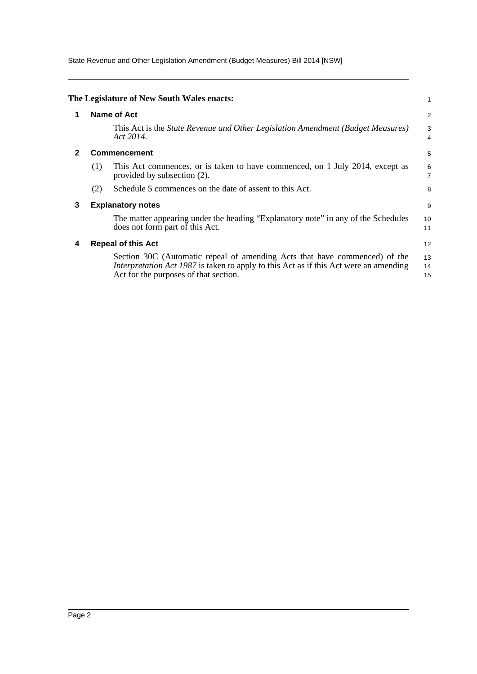State Revenue and Other Legislation Amendment (Budget Measures) Bill 2014 [NSW]

<span id="page-4-3"></span><span id="page-4-2"></span><span id="page-4-1"></span><span id="page-4-0"></span>

|   |             | The Legislature of New South Wales enacts:                                                                                                                                                                          | 1                   |  |  |  |  |
|---|-------------|---------------------------------------------------------------------------------------------------------------------------------------------------------------------------------------------------------------------|---------------------|--|--|--|--|
| 1 | Name of Act |                                                                                                                                                                                                                     |                     |  |  |  |  |
|   |             | This Act is the <i>State Revenue and Other Legislation Amendment (Budget Measures)</i><br>Act 2014.                                                                                                                 | 3<br>4              |  |  |  |  |
|   |             | <b>Commencement</b>                                                                                                                                                                                                 | 5                   |  |  |  |  |
|   | (1)         | This Act commences, or is taken to have commenced, on 1 July 2014, except as<br>provided by subsection (2).                                                                                                         | 6<br>$\overline{7}$ |  |  |  |  |
|   | (2)         | Schedule 5 commences on the date of assent to this Act.                                                                                                                                                             | 8                   |  |  |  |  |
| 3 |             | <b>Explanatory notes</b>                                                                                                                                                                                            | 9                   |  |  |  |  |
|   |             | The matter appearing under the heading "Explanatory note" in any of the Schedules<br>does not form part of this Act.                                                                                                | 10<br>11            |  |  |  |  |
| 4 |             | <b>Repeal of this Act</b>                                                                                                                                                                                           | 12                  |  |  |  |  |
|   |             | Section 30C (Automatic repeal of amending Acts that have commenced) of the<br><i>Interpretation Act 1987</i> is taken to apply to this Act as if this Act were an amending<br>Act for the purposes of that section. | 13<br>14<br>15      |  |  |  |  |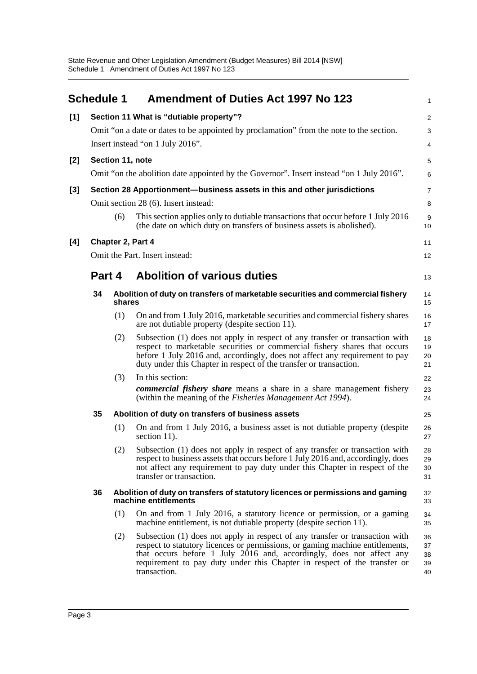<span id="page-5-0"></span>

|     | <b>Schedule 1</b> |                                  | <b>Amendment of Duties Act 1997 No 123</b>                                                                                                                                                                                                                                                                                        | $\mathbf{1}$               |  |  |  |  |  |  |
|-----|-------------------|----------------------------------|-----------------------------------------------------------------------------------------------------------------------------------------------------------------------------------------------------------------------------------------------------------------------------------------------------------------------------------|----------------------------|--|--|--|--|--|--|
| [1] |                   |                                  | Section 11 What is "dutiable property"?                                                                                                                                                                                                                                                                                           | $\boldsymbol{2}$           |  |  |  |  |  |  |
|     |                   |                                  | Omit "on a date or dates to be appointed by proclamation" from the note to the section.                                                                                                                                                                                                                                           | 3                          |  |  |  |  |  |  |
|     |                   | Insert instead "on 1 July 2016". |                                                                                                                                                                                                                                                                                                                                   |                            |  |  |  |  |  |  |
| [2] |                   |                                  | Section 11, note                                                                                                                                                                                                                                                                                                                  | 5                          |  |  |  |  |  |  |
|     |                   |                                  | Omit "on the abolition date appointed by the Governor". Insert instead "on 1 July 2016".                                                                                                                                                                                                                                          | 6                          |  |  |  |  |  |  |
| [3] |                   |                                  | Section 28 Apportionment-business assets in this and other jurisdictions                                                                                                                                                                                                                                                          | $\overline{7}$             |  |  |  |  |  |  |
|     |                   |                                  | Omit section 28 (6). Insert instead:                                                                                                                                                                                                                                                                                              | 8                          |  |  |  |  |  |  |
|     |                   | (6)                              | This section applies only to dutiable transactions that occur before 1 July 2016<br>(the date on which duty on transfers of business assets is abolished).                                                                                                                                                                        | $\boldsymbol{9}$<br>10     |  |  |  |  |  |  |
| [4] |                   |                                  | Chapter 2, Part 4                                                                                                                                                                                                                                                                                                                 | 11                         |  |  |  |  |  |  |
|     |                   |                                  | Omit the Part. Insert instead:                                                                                                                                                                                                                                                                                                    | 12                         |  |  |  |  |  |  |
|     | Part 4            |                                  | <b>Abolition of various duties</b>                                                                                                                                                                                                                                                                                                |                            |  |  |  |  |  |  |
|     | 34                | shares                           | Abolition of duty on transfers of marketable securities and commercial fishery                                                                                                                                                                                                                                                    | 14<br>15                   |  |  |  |  |  |  |
|     |                   | (1)                              | On and from 1 July 2016, marketable securities and commercial fishery shares<br>are not dutiable property (despite section 11).                                                                                                                                                                                                   | 16<br>17                   |  |  |  |  |  |  |
|     |                   | (2)                              | Subsection (1) does not apply in respect of any transfer or transaction with<br>respect to marketable securities or commercial fishery shares that occurs<br>before 1 July 2016 and, accordingly, does not affect any requirement to pay<br>duty under this Chapter in respect of the transfer or transaction.                    | 18<br>19<br>20<br>21       |  |  |  |  |  |  |
|     |                   | (3)                              | In this section:                                                                                                                                                                                                                                                                                                                  | 22                         |  |  |  |  |  |  |
|     |                   |                                  | <b><i>commercial fishery share</i></b> means a share in a share management fishery<br>(within the meaning of the <i>Fisheries Management Act 1994</i> ).                                                                                                                                                                          | 23<br>24                   |  |  |  |  |  |  |
|     | 35                |                                  | Abolition of duty on transfers of business assets                                                                                                                                                                                                                                                                                 | 25                         |  |  |  |  |  |  |
|     |                   | (1)                              | On and from 1 July 2016, a business asset is not dutiable property (despite<br>section 11).                                                                                                                                                                                                                                       | 26<br>27                   |  |  |  |  |  |  |
|     |                   |                                  | (2) Subsection (1) does not apply in respect of any transfer or transaction with<br>respect to business assets that occurs before 1 July 2016 and, accordingly, does<br>not affect any requirement to pay duty under this Chapter in respect of the<br>transfer or transaction.                                                   | 28<br>29<br>30<br>31       |  |  |  |  |  |  |
|     | 36                |                                  | Abolition of duty on transfers of statutory licences or permissions and gaming<br>machine entitlements                                                                                                                                                                                                                            | 32<br>33                   |  |  |  |  |  |  |
|     |                   | (1)                              | On and from 1 July 2016, a statutory licence or permission, or a gaming<br>machine entitlement, is not dutiable property (despite section 11).                                                                                                                                                                                    | 34<br>35                   |  |  |  |  |  |  |
|     |                   | (2)                              | Subsection (1) does not apply in respect of any transfer or transaction with<br>respect to statutory licences or permissions, or gaming machine entitlements,<br>that occurs before 1 July 2016 and, accordingly, does not affect any<br>requirement to pay duty under this Chapter in respect of the transfer or<br>transaction. | 36<br>37<br>38<br>39<br>40 |  |  |  |  |  |  |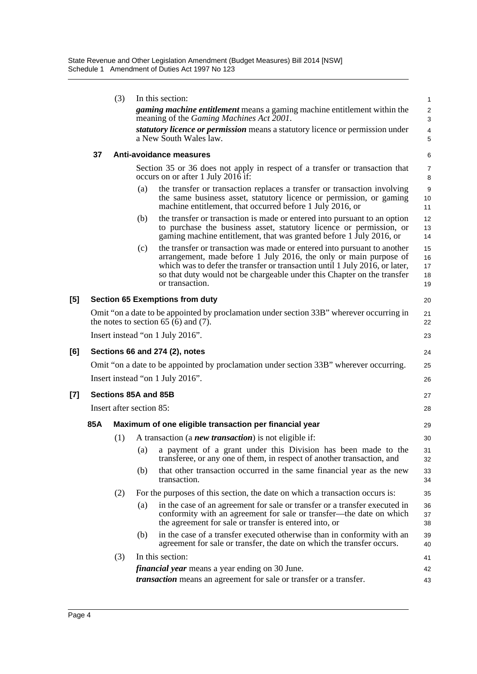|     |     | (3)                      |     | In this section:                                                                                                                                                                                                                                                                                                           | 1                            |
|-----|-----|--------------------------|-----|----------------------------------------------------------------------------------------------------------------------------------------------------------------------------------------------------------------------------------------------------------------------------------------------------------------------------|------------------------------|
|     |     |                          |     | <i>gaming machine entitlement</i> means a gaming machine entitlement within the<br>meaning of the Gaming Machines Act 2001.                                                                                                                                                                                                | $\sqrt{2}$<br>$\sqrt{3}$     |
|     |     |                          |     | <i>statutory licence or permission</i> means a statutory licence or permission under<br>a New South Wales law.                                                                                                                                                                                                             | $\overline{\mathbf{4}}$<br>5 |
|     | 37  |                          |     | Anti-avoidance measures                                                                                                                                                                                                                                                                                                    | 6                            |
|     |     |                          |     | Section 35 or 36 does not apply in respect of a transfer or transaction that<br>occurs on or after 1 July 2016 if:                                                                                                                                                                                                         | 7<br>8                       |
|     |     |                          | (a) | the transfer or transaction replaces a transfer or transaction involving<br>the same business asset, statutory licence or permission, or gaming<br>machine entitlement, that occurred before 1 July 2016, or                                                                                                               | $9\,$<br>10<br>11            |
|     |     |                          | (b) | the transfer or transaction is made or entered into pursuant to an option<br>to purchase the business asset, statutory licence or permission, or<br>gaming machine entitlement, that was granted before 1 July 2016, or                                                                                                    | 12<br>13<br>14               |
|     |     |                          | (c) | the transfer or transaction was made or entered into pursuant to another<br>arrangement, made before 1 July 2016, the only or main purpose of<br>which was to defer the transfer or transaction until 1 July 2016, or later,<br>so that duty would not be chargeable under this Chapter on the transfer<br>or transaction. | 15<br>16<br>17<br>18<br>19   |
| [5] |     |                          |     | <b>Section 65 Exemptions from duty</b>                                                                                                                                                                                                                                                                                     | 20                           |
|     |     |                          |     | Omit "on a date to be appointed by proclamation under section 33B" wherever occurring in<br>the notes to section 65 (6) and (7).                                                                                                                                                                                           | 21<br>22                     |
|     |     |                          |     | Insert instead "on 1 July 2016".                                                                                                                                                                                                                                                                                           | 23                           |
| [6] |     |                          |     | Sections 66 and 274 (2), notes                                                                                                                                                                                                                                                                                             | 24                           |
|     |     |                          |     | Omit "on a date to be appointed by proclamation under section 33B" wherever occurring.                                                                                                                                                                                                                                     | 25                           |
|     |     |                          |     | Insert instead "on 1 July 2016".                                                                                                                                                                                                                                                                                           | 26                           |
| [7] |     | Sections 85A and 85B     |     |                                                                                                                                                                                                                                                                                                                            | 27                           |
|     |     | Insert after section 85: |     |                                                                                                                                                                                                                                                                                                                            | 28                           |
|     | 85A |                          |     | Maximum of one eligible transaction per financial year                                                                                                                                                                                                                                                                     | 29                           |
|     |     | (1)                      |     | A transaction (a <b><i>new transaction</i></b> ) is not eligible if:                                                                                                                                                                                                                                                       | 30                           |
|     |     |                          | (a) | a payment of a grant under this Division has been made to the<br>transferee, or any one of them, in respect of another transaction, and                                                                                                                                                                                    | 31<br>32                     |
|     |     |                          | (b) | that other transaction occurred in the same financial year as the new<br>transaction.                                                                                                                                                                                                                                      | 33<br>34                     |
|     |     | (2)                      |     | For the purposes of this section, the date on which a transaction occurs is:                                                                                                                                                                                                                                               | 35                           |
|     |     |                          | (a) | in the case of an agreement for sale or transfer or a transfer executed in<br>conformity with an agreement for sale or transfer—the date on which<br>the agreement for sale or transfer is entered into, or                                                                                                                | 36<br>37<br>38               |
|     |     |                          | (b) | in the case of a transfer executed otherwise than in conformity with an<br>agreement for sale or transfer, the date on which the transfer occurs.                                                                                                                                                                          | 39<br>40                     |
|     |     | (3)                      |     | In this section:                                                                                                                                                                                                                                                                                                           | 41                           |
|     |     |                          |     | <i>financial year</i> means a year ending on 30 June.                                                                                                                                                                                                                                                                      | 42                           |
|     |     |                          |     | <i>transaction</i> means an agreement for sale or transfer or a transfer.                                                                                                                                                                                                                                                  | 43                           |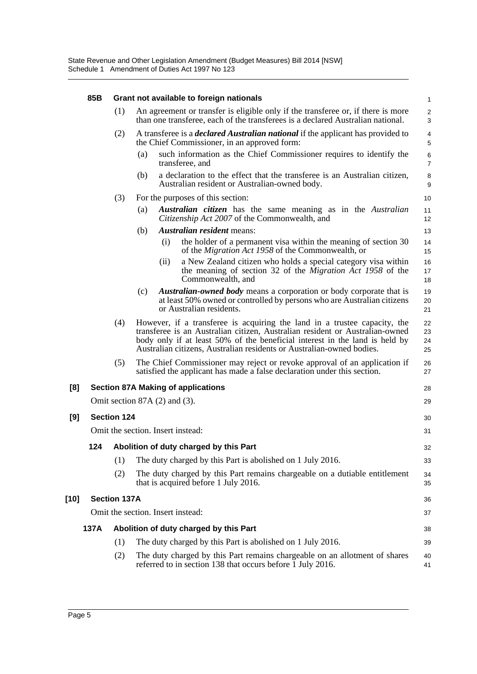|        | 85B  | Grant not available to foreign nationals |     |                                                                                                                                                                                                                                                                                                                   |                         |  |  |  |
|--------|------|------------------------------------------|-----|-------------------------------------------------------------------------------------------------------------------------------------------------------------------------------------------------------------------------------------------------------------------------------------------------------------------|-------------------------|--|--|--|
|        |      | (1)                                      |     | An agreement or transfer is eligible only if the transferee or, if there is more<br>than one transferee, each of the transferees is a declared Australian national.                                                                                                                                               | $\boldsymbol{2}$<br>3   |  |  |  |
|        |      | (2)                                      |     | A transferee is a <i>declared Australian national</i> if the applicant has provided to<br>the Chief Commissioner, in an approved form:                                                                                                                                                                            |                         |  |  |  |
|        |      |                                          | (a) | such information as the Chief Commissioner requires to identify the<br>transferee, and                                                                                                                                                                                                                            | $\,6$<br>$\overline{7}$ |  |  |  |
|        |      |                                          | (b) | a declaration to the effect that the transferee is an Australian citizen,<br>Australian resident or Australian-owned body.                                                                                                                                                                                        | 8<br>9                  |  |  |  |
|        |      | (3)                                      |     | For the purposes of this section:                                                                                                                                                                                                                                                                                 | 10                      |  |  |  |
|        |      |                                          | (a) | <b>Australian citizen</b> has the same meaning as in the Australian<br>Citizenship Act 2007 of the Commonwealth, and                                                                                                                                                                                              | 11<br>12                |  |  |  |
|        |      |                                          | (b) | <i>Australian resident</i> means:                                                                                                                                                                                                                                                                                 | 13                      |  |  |  |
|        |      |                                          |     | (i)<br>the holder of a permanent visa within the meaning of section 30<br>of the <i>Migration Act 1958</i> of the Commonwealth, or                                                                                                                                                                                | 14<br>15                |  |  |  |
|        |      |                                          |     | a New Zealand citizen who holds a special category visa within<br>(ii)<br>the meaning of section 32 of the <i>Migration Act 1958</i> of the<br>Commonwealth, and                                                                                                                                                  | 16<br>17<br>18          |  |  |  |
|        |      |                                          | (c) | <b>Australian-owned body</b> means a corporation or body corporate that is<br>at least 50% owned or controlled by persons who are Australian citizens<br>or Australian residents.                                                                                                                                 | 19<br>20<br>21          |  |  |  |
|        |      | (4)                                      |     | However, if a transferee is acquiring the land in a trustee capacity, the<br>transferee is an Australian citizen, Australian resident or Australian-owned<br>body only if at least 50% of the beneficial interest in the land is held by<br>Australian citizens, Australian residents or Australian-owned bodies. | 22<br>23<br>24<br>25    |  |  |  |
|        |      | (5)                                      |     | The Chief Commissioner may reject or revoke approval of an application if<br>satisfied the applicant has made a false declaration under this section.                                                                                                                                                             | 26<br>27                |  |  |  |
| [8]    |      |                                          |     | <b>Section 87A Making of applications</b>                                                                                                                                                                                                                                                                         | 28                      |  |  |  |
|        |      |                                          |     | Omit section $87A(2)$ and $(3)$ .                                                                                                                                                                                                                                                                                 | 29                      |  |  |  |
| [9]    |      | <b>Section 124</b>                       |     |                                                                                                                                                                                                                                                                                                                   | 30                      |  |  |  |
|        |      |                                          |     | Omit the section. Insert instead:                                                                                                                                                                                                                                                                                 | 31                      |  |  |  |
|        |      |                                          |     |                                                                                                                                                                                                                                                                                                                   |                         |  |  |  |
|        | 124  |                                          |     | Abolition of duty charged by this Part                                                                                                                                                                                                                                                                            | 32                      |  |  |  |
|        |      | (1)                                      |     | The duty charged by this Part is abolished on 1 July 2016.                                                                                                                                                                                                                                                        | 33                      |  |  |  |
|        |      | (2)                                      |     | The duty charged by this Part remains chargeable on a dutiable entitlement<br>that is acquired before 1 July 2016.                                                                                                                                                                                                | 34<br>35                |  |  |  |
| $[10]$ |      | <b>Section 137A</b>                      |     |                                                                                                                                                                                                                                                                                                                   | 36                      |  |  |  |
|        |      |                                          |     | Omit the section. Insert instead:                                                                                                                                                                                                                                                                                 | 37                      |  |  |  |
|        | 137A |                                          |     | Abolition of duty charged by this Part                                                                                                                                                                                                                                                                            | 38                      |  |  |  |
|        |      | (1)                                      |     | The duty charged by this Part is abolished on 1 July 2016.                                                                                                                                                                                                                                                        | 39                      |  |  |  |
|        |      | (2)                                      |     | The duty charged by this Part remains chargeable on an allotment of shares<br>referred to in section 138 that occurs before 1 July 2016.                                                                                                                                                                          | 40<br>41                |  |  |  |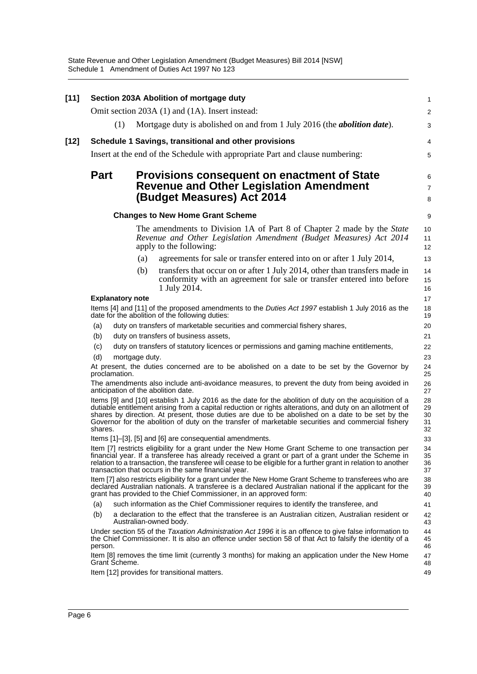State Revenue and Other Legislation Amendment (Budget Measures) Bill 2014 [NSW] Schedule 1 Amendment of Duties Act 1997 No 123

| $[11]$ |                                                                                                                                       |                | Section 203A Abolition of mortgage duty                                                                                                                                                                                                                                                                                                                                                                                      | 1                          |  |  |  |  |
|--------|---------------------------------------------------------------------------------------------------------------------------------------|----------------|------------------------------------------------------------------------------------------------------------------------------------------------------------------------------------------------------------------------------------------------------------------------------------------------------------------------------------------------------------------------------------------------------------------------------|----------------------------|--|--|--|--|
|        |                                                                                                                                       |                | Omit section 203A (1) and (1A). Insert instead:                                                                                                                                                                                                                                                                                                                                                                              | 2                          |  |  |  |  |
|        | (1)                                                                                                                                   |                | Mortgage duty is abolished on and from 1 July 2016 (the <i>abolition date</i> ).                                                                                                                                                                                                                                                                                                                                             | 3                          |  |  |  |  |
| [12]   |                                                                                                                                       |                | Schedule 1 Savings, transitional and other provisions                                                                                                                                                                                                                                                                                                                                                                        | 4                          |  |  |  |  |
|        |                                                                                                                                       |                | Insert at the end of the Schedule with appropriate Part and clause numbering:                                                                                                                                                                                                                                                                                                                                                | 5                          |  |  |  |  |
|        |                                                                                                                                       |                |                                                                                                                                                                                                                                                                                                                                                                                                                              |                            |  |  |  |  |
|        | <b>Part</b>                                                                                                                           |                | <b>Provisions consequent on enactment of State</b><br><b>Revenue and Other Legislation Amendment</b><br>(Budget Measures) Act 2014                                                                                                                                                                                                                                                                                           | 6<br>$\overline{7}$<br>8   |  |  |  |  |
|        |                                                                                                                                       |                | <b>Changes to New Home Grant Scheme</b>                                                                                                                                                                                                                                                                                                                                                                                      | 9                          |  |  |  |  |
|        |                                                                                                                                       |                | The amendments to Division 1A of Part 8 of Chapter 2 made by the <i>State</i><br>Revenue and Other Legislation Amendment (Budget Measures) Act 2014<br>apply to the following:                                                                                                                                                                                                                                               | 10<br>11<br>12             |  |  |  |  |
|        |                                                                                                                                       | (a)            | agreements for sale or transfer entered into on or after 1 July 2014,                                                                                                                                                                                                                                                                                                                                                        | 13                         |  |  |  |  |
|        |                                                                                                                                       | (b)            | transfers that occur on or after 1 July 2014, other than transfers made in<br>conformity with an agreement for sale or transfer entered into before<br>1 July 2014.                                                                                                                                                                                                                                                          | 14<br>15<br>16             |  |  |  |  |
|        | <b>Explanatory note</b>                                                                                                               |                |                                                                                                                                                                                                                                                                                                                                                                                                                              | 17                         |  |  |  |  |
|        |                                                                                                                                       |                | Items [4] and [11] of the proposed amendments to the <i>Duties Act 1997</i> establish 1 July 2016 as the<br>date for the abolition of the following duties:                                                                                                                                                                                                                                                                  | 18<br>19                   |  |  |  |  |
|        | (a)                                                                                                                                   |                | duty on transfers of marketable securities and commercial fishery shares,                                                                                                                                                                                                                                                                                                                                                    | 20                         |  |  |  |  |
|        | (b)                                                                                                                                   |                | duty on transfers of business assets,                                                                                                                                                                                                                                                                                                                                                                                        | 21                         |  |  |  |  |
|        | (c)                                                                                                                                   |                | duty on transfers of statutory licences or permissions and gaming machine entitlements,                                                                                                                                                                                                                                                                                                                                      | 22                         |  |  |  |  |
|        | (d)                                                                                                                                   | mortgage duty. |                                                                                                                                                                                                                                                                                                                                                                                                                              | 23                         |  |  |  |  |
|        | proclamation.                                                                                                                         |                | At present, the duties concerned are to be abolished on a date to be set by the Governor by                                                                                                                                                                                                                                                                                                                                  | 24<br>25<br>26             |  |  |  |  |
|        | The amendments also include anti-avoidance measures, to prevent the duty from being avoided in<br>anticipation of the abolition date. |                |                                                                                                                                                                                                                                                                                                                                                                                                                              |                            |  |  |  |  |
|        | shares.                                                                                                                               |                | Items [9] and [10] establish 1 July 2016 as the date for the abolition of duty on the acquisition of a<br>dutiable entitlement arising from a capital reduction or rights alterations, and duty on an allotment of<br>shares by direction. At present, those duties are due to be abolished on a date to be set by the<br>Governor for the abolition of duty on the transfer of marketable securities and commercial fishery | 28<br>29<br>30<br>31<br>32 |  |  |  |  |
|        |                                                                                                                                       |                | Items [1]–[3], [5] and [6] are consequential amendments.                                                                                                                                                                                                                                                                                                                                                                     | 33                         |  |  |  |  |
|        |                                                                                                                                       |                | Item [7] restricts eligibility for a grant under the New Home Grant Scheme to one transaction per<br>financial year. If a transferee has already received a grant or part of a grant under the Scheme in<br>relation to a transaction, the transferee will cease to be eligible for a further grant in relation to another<br>transaction that occurs in the same financial year.                                            | 34<br>35<br>36<br>37       |  |  |  |  |
|        |                                                                                                                                       |                | Item [7] also restricts eligibility for a grant under the New Home Grant Scheme to transferees who are<br>declared Australian nationals. A transferee is a declared Australian national if the applicant for the<br>grant has provided to the Chief Commissioner, in an approved form:                                                                                                                                       | 38<br>39<br>40             |  |  |  |  |
|        | (a)                                                                                                                                   |                | such information as the Chief Commissioner requires to identify the transferee, and                                                                                                                                                                                                                                                                                                                                          | 41                         |  |  |  |  |
|        | (b)                                                                                                                                   |                | a declaration to the effect that the transferee is an Australian citizen, Australian resident or<br>Australian-owned body.                                                                                                                                                                                                                                                                                                   | 42<br>43                   |  |  |  |  |
|        | person.                                                                                                                               |                | Under section 55 of the Taxation Administration Act 1996 it is an offence to give false information to<br>the Chief Commissioner. It is also an offence under section 58 of that Act to falsify the identity of a                                                                                                                                                                                                            | 44<br>45<br>46             |  |  |  |  |
|        | Grant Scheme.                                                                                                                         |                | Item [8] removes the time limit (currently 3 months) for making an application under the New Home                                                                                                                                                                                                                                                                                                                            | 47<br>48                   |  |  |  |  |
|        |                                                                                                                                       |                | Item [12] provides for transitional matters.                                                                                                                                                                                                                                                                                                                                                                                 | 49                         |  |  |  |  |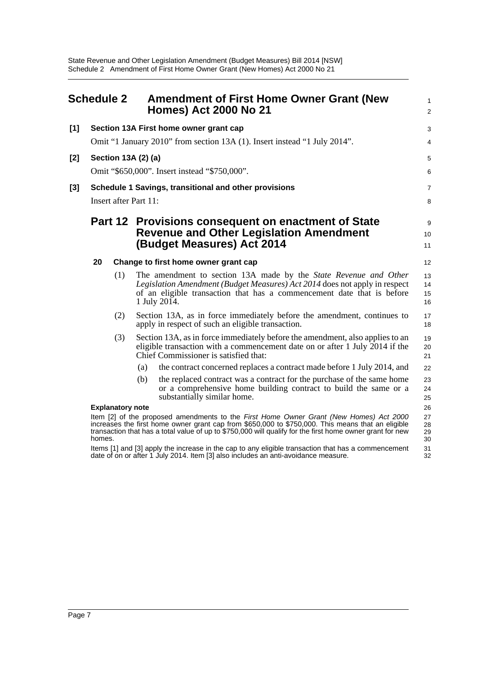<span id="page-9-0"></span>

|       | <b>Schedule 2</b> |                         |     | <b>Amendment of First Home Owner Grant (New</b><br><b>Homes) Act 2000 No 21</b>                                                                                                                                                                                                                          | 1<br>$\overline{a}$  |  |  |
|-------|-------------------|-------------------------|-----|----------------------------------------------------------------------------------------------------------------------------------------------------------------------------------------------------------------------------------------------------------------------------------------------------------|----------------------|--|--|
| $[1]$ |                   |                         |     | Section 13A First home owner grant cap                                                                                                                                                                                                                                                                   | 3                    |  |  |
|       |                   |                         |     | Omit "1 January 2010" from section 13A (1). Insert instead "1 July 2014".                                                                                                                                                                                                                                | 4                    |  |  |
| [2]   |                   | Section 13A (2) (a)     |     |                                                                                                                                                                                                                                                                                                          | 5                    |  |  |
|       |                   |                         |     | Omit "\$650,000". Insert instead "\$750,000".                                                                                                                                                                                                                                                            | 6                    |  |  |
| $[3]$ |                   |                         |     | Schedule 1 Savings, transitional and other provisions                                                                                                                                                                                                                                                    | 7                    |  |  |
|       |                   | Insert after Part 11:   |     |                                                                                                                                                                                                                                                                                                          | 8                    |  |  |
|       |                   |                         |     | Part 12 Provisions consequent on enactment of State<br><b>Revenue and Other Legislation Amendment</b><br>(Budget Measures) Act 2014                                                                                                                                                                      | 9<br>10<br>11        |  |  |
|       | 20                |                         |     | Change to first home owner grant cap                                                                                                                                                                                                                                                                     |                      |  |  |
|       |                   | (1)                     |     | The amendment to section 13A made by the State Revenue and Other<br>Legislation Amendment (Budget Measures) Act 2014 does not apply in respect<br>of an eligible transaction that has a commencement date that is before<br>1 July 2014.                                                                 | 13<br>14<br>15<br>16 |  |  |
|       |                   | (2)                     |     | Section 13A, as in force immediately before the amendment, continues to<br>apply in respect of such an eligible transaction.                                                                                                                                                                             | 17<br>18             |  |  |
|       |                   | (3)                     |     | Section 13A, as in force immediately before the amendment, also applies to an<br>eligible transaction with a commencement date on or after 1 July 2014 if the<br>Chief Commissioner is satisfied that:                                                                                                   | 19<br>20<br>21       |  |  |
|       |                   |                         | (a) | the contract concerned replaces a contract made before 1 July 2014, and                                                                                                                                                                                                                                  | 22                   |  |  |
|       |                   |                         | (b) | the replaced contract was a contract for the purchase of the same home<br>or a comprehensive home building contract to build the same or a<br>substantially similar home.                                                                                                                                | 23<br>24<br>25       |  |  |
|       |                   | <b>Explanatory note</b> |     |                                                                                                                                                                                                                                                                                                          | 26                   |  |  |
|       | homes.            |                         |     | Item [2] of the proposed amendments to the First Home Owner Grant (New Homes) Act 2000<br>increases the first home owner grant cap from \$650,000 to \$750,000. This means that an eligible<br>transaction that has a total value of up to \$750,000 will qualify for the first home owner grant for new | 27<br>28<br>29<br>30 |  |  |
|       |                   |                         |     | Items [1] and [3] apply the increase in the cap to any eligible transaction that has a commencement<br>date of on or after 1 July 2014. Item [3] also includes an anti-avoidance measure.                                                                                                                | 31<br>32             |  |  |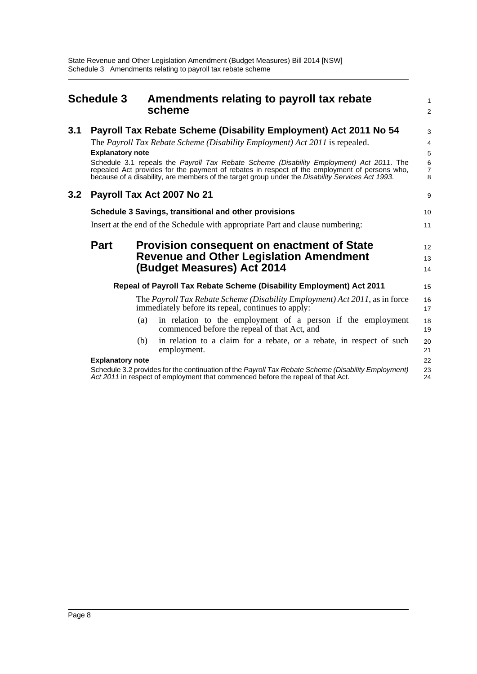<span id="page-10-0"></span>

|     | <b>Schedule 3</b>                              |     | Amendments relating to payroll tax rebate                                                                                                                                                         |                                            |  |
|-----|------------------------------------------------|-----|---------------------------------------------------------------------------------------------------------------------------------------------------------------------------------------------------|--------------------------------------------|--|
|     |                                                |     | scheme                                                                                                                                                                                            | $\overline{a}$                             |  |
| 3.1 |                                                |     | Payroll Tax Rebate Scheme (Disability Employment) Act 2011 No 54                                                                                                                                  | 3                                          |  |
|     |                                                |     | The Payroll Tax Rebate Scheme (Disability Employment) Act 2011 is repealed.                                                                                                                       | 4                                          |  |
|     | <b>Explanatory note</b>                        |     |                                                                                                                                                                                                   | 5                                          |  |
|     |                                                |     | Schedule 3.1 repeals the Payroll Tax Rebate Scheme (Disability Employment) Act 2011. The                                                                                                          |                                            |  |
|     |                                                |     | repealed Act provides for the payment of rebates in respect of the employment of persons who,<br>because of a disability, are members of the target group under the Disability Services Act 1993. | $\begin{array}{c} 6 \\ 7 \\ 8 \end{array}$ |  |
| 3.2 |                                                |     | Payroll Tax Act 2007 No 21                                                                                                                                                                        | 9                                          |  |
|     |                                                |     | Schedule 3 Savings, transitional and other provisions                                                                                                                                             | 10                                         |  |
|     |                                                |     | Insert at the end of the Schedule with appropriate Part and clause numbering:                                                                                                                     | 11                                         |  |
|     | <b>Part</b>                                    |     | <b>Provision consequent on enactment of State</b>                                                                                                                                                 | 12                                         |  |
|     | <b>Revenue and Other Legislation Amendment</b> |     |                                                                                                                                                                                                   |                                            |  |
|     |                                                |     | (Budget Measures) Act 2014                                                                                                                                                                        | 14                                         |  |
|     |                                                |     | Repeal of Payroll Tax Rebate Scheme (Disability Employment) Act 2011                                                                                                                              | 15                                         |  |
|     |                                                |     | The Payroll Tax Rebate Scheme (Disability Employment) Act 2011, as in force<br>immediately before its repeal, continues to apply:                                                                 | 16<br>17                                   |  |
|     |                                                | (a) | in relation to the employment of a person if the employment<br>commenced before the repeal of that Act, and                                                                                       | 18<br>19                                   |  |
|     |                                                | (b) | in relation to a claim for a rebate, or a rebate, in respect of such<br>employment.                                                                                                               | 20<br>21                                   |  |
|     | <b>Explanatory note</b>                        |     |                                                                                                                                                                                                   | 22                                         |  |
|     |                                                |     | Schedule 3.2 provides for the continuation of the Payroll Tax Rebate Scheme (Disability Employment)<br>Act 2011 in respect of employment that commenced before the repeal of that Act.            | 23<br>24                                   |  |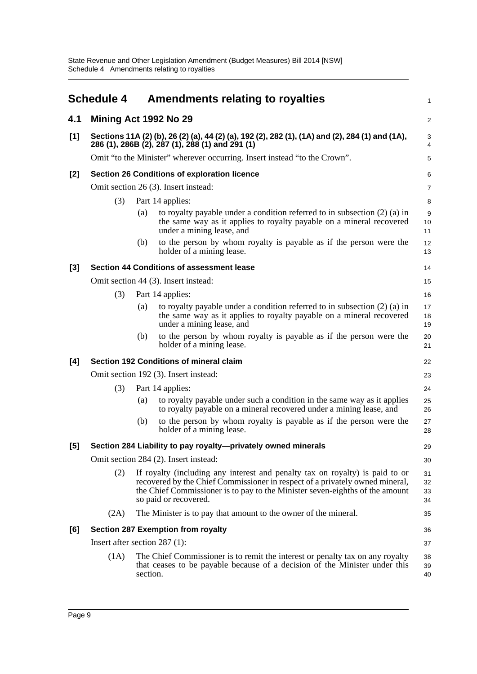<span id="page-11-0"></span>

|       | <b>Schedule 4</b>             |          | Amendments relating to royalties                                                                                                                                                                                                                                      | 1                    |
|-------|-------------------------------|----------|-----------------------------------------------------------------------------------------------------------------------------------------------------------------------------------------------------------------------------------------------------------------------|----------------------|
| 4.1   | Mining Act 1992 No 29         |          |                                                                                                                                                                                                                                                                       | $\overline{c}$       |
| [1]   |                               |          | Sections 11A (2) (b), 26 (2) (a), 44 (2) (a), 192 (2), 282 (1), (1A) and (2), 284 (1) and (1A),<br>286 (1), 286B (2), 287 (1), 288 (1) and 291 (1)                                                                                                                    | 3<br>$\overline{4}$  |
|       |                               |          | Omit "to the Minister" wherever occurring. Insert instead "to the Crown".                                                                                                                                                                                             | 5                    |
| [2]   |                               |          | Section 26 Conditions of exploration licence                                                                                                                                                                                                                          | 6                    |
|       |                               |          | Omit section 26 (3). Insert instead:                                                                                                                                                                                                                                  | $\overline{7}$       |
|       | (3)                           |          | Part 14 applies:                                                                                                                                                                                                                                                      | 8                    |
|       |                               | (a)      | to royalty payable under a condition referred to in subsection $(2)$ (a) in<br>the same way as it applies to royalty payable on a mineral recovered<br>under a mining lease, and                                                                                      | 9<br>10<br>11        |
|       |                               | (b)      | to the person by whom royalty is payable as if the person were the<br>holder of a mining lease.                                                                                                                                                                       | 12<br>13             |
| $[3]$ |                               |          | Section 44 Conditions of assessment lease                                                                                                                                                                                                                             | 14                   |
|       |                               |          | Omit section 44 (3). Insert instead:                                                                                                                                                                                                                                  | 15                   |
|       | (3)                           |          | Part 14 applies:                                                                                                                                                                                                                                                      | 16                   |
|       |                               | (a)      | to royalty payable under a condition referred to in subsection $(2)$ (a) in<br>the same way as it applies to royalty payable on a mineral recovered<br>under a mining lease, and                                                                                      | 17<br>18<br>19       |
|       |                               | (b)      | to the person by whom royalty is payable as if the person were the<br>holder of a mining lease.                                                                                                                                                                       | 20<br>21             |
| [4]   |                               |          | Section 192 Conditions of mineral claim                                                                                                                                                                                                                               | 22                   |
|       |                               |          | Omit section 192 (3). Insert instead:                                                                                                                                                                                                                                 | 23                   |
|       | (3)                           |          | Part 14 applies:                                                                                                                                                                                                                                                      | 24                   |
|       |                               | (a)      | to royalty payable under such a condition in the same way as it applies<br>to royalty payable on a mineral recovered under a mining lease, and                                                                                                                        | 25<br>26             |
|       |                               | (b)      | to the person by whom royalty is payable as if the person were the<br>holder of a mining lease.                                                                                                                                                                       | 27<br>28             |
| [5]   |                               |          | Section 284 Liability to pay royalty-privately owned minerals                                                                                                                                                                                                         | 29                   |
|       |                               |          | Omit section 284 (2). Insert instead:                                                                                                                                                                                                                                 | 30                   |
|       | (2)                           |          | If royalty (including any interest and penalty tax on royalty) is paid to or<br>recovered by the Chief Commissioner in respect of a privately owned mineral,<br>the Chief Commissioner is to pay to the Minister seven-eighths of the amount<br>so paid or recovered. | 31<br>32<br>33<br>34 |
|       | (2A)                          |          | The Minister is to pay that amount to the owner of the mineral.                                                                                                                                                                                                       | 35                   |
| [6]   |                               |          | <b>Section 287 Exemption from royalty</b>                                                                                                                                                                                                                             | 36                   |
|       | Insert after section 287 (1): |          |                                                                                                                                                                                                                                                                       | 37                   |
|       | (1A)                          | section. | The Chief Commissioner is to remit the interest or penalty tax on any royalty<br>that ceases to be payable because of a decision of the Minister under this                                                                                                           | 38<br>39<br>40       |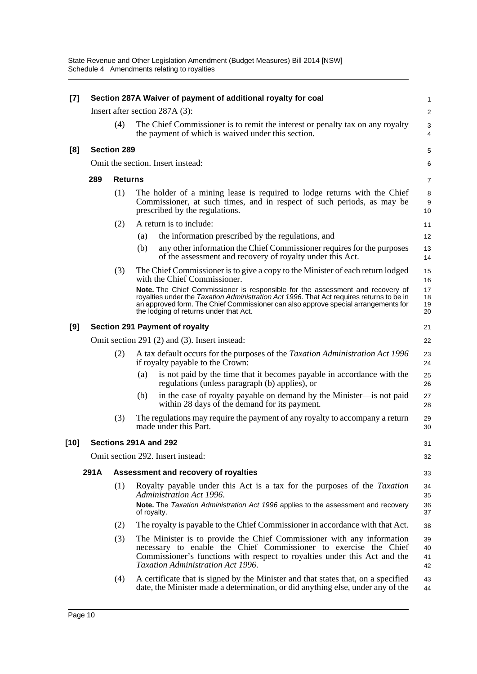| $[7]$ | Section 287A Waiver of payment of additional royalty for coal |                    |                                               |                                                                                                                                                                                                                                                                                                            |                      |  |  |
|-------|---------------------------------------------------------------|--------------------|-----------------------------------------------|------------------------------------------------------------------------------------------------------------------------------------------------------------------------------------------------------------------------------------------------------------------------------------------------------------|----------------------|--|--|
|       |                                                               |                    |                                               | Insert after section 287A (3):                                                                                                                                                                                                                                                                             | $\overline{2}$       |  |  |
|       |                                                               | (4)                |                                               | The Chief Commissioner is to remit the interest or penalty tax on any royalty<br>the payment of which is waived under this section.                                                                                                                                                                        | 3<br>$\overline{4}$  |  |  |
| [8]   |                                                               | <b>Section 289</b> |                                               |                                                                                                                                                                                                                                                                                                            | 5                    |  |  |
|       |                                                               |                    |                                               | Omit the section. Insert instead:                                                                                                                                                                                                                                                                          | 6                    |  |  |
|       | 289                                                           | <b>Returns</b>     |                                               |                                                                                                                                                                                                                                                                                                            | 7                    |  |  |
|       |                                                               | (1)                |                                               | The holder of a mining lease is required to lodge returns with the Chief<br>Commissioner, at such times, and in respect of such periods, as may be<br>prescribed by the regulations.                                                                                                                       | 8<br>9<br>10         |  |  |
|       |                                                               | (2)                |                                               | A return is to include:                                                                                                                                                                                                                                                                                    | 11                   |  |  |
|       |                                                               |                    | (a)                                           | the information prescribed by the regulations, and                                                                                                                                                                                                                                                         | 12                   |  |  |
|       |                                                               |                    | (b)                                           | any other information the Chief Commissioner requires for the purposes<br>of the assessment and recovery of royalty under this Act.                                                                                                                                                                        | 13<br>14             |  |  |
|       |                                                               | (3)                |                                               | The Chief Commissioner is to give a copy to the Minister of each return lodged<br>with the Chief Commissioner.                                                                                                                                                                                             | 15<br>16             |  |  |
|       |                                                               |                    |                                               | Note. The Chief Commissioner is responsible for the assessment and recovery of<br>royalties under the Taxation Administration Act 1996. That Act requires returns to be in<br>an approved form. The Chief Commissioner can also approve special arrangements for<br>the lodging of returns under that Act. | 17<br>18<br>19<br>20 |  |  |
| [9]   |                                                               |                    |                                               | <b>Section 291 Payment of royalty</b>                                                                                                                                                                                                                                                                      | 21                   |  |  |
|       |                                                               |                    | Omit section 291 (2) and (3). Insert instead: |                                                                                                                                                                                                                                                                                                            |                      |  |  |
|       |                                                               | (2)                |                                               | A tax default occurs for the purposes of the Taxation Administration Act 1996<br>if royalty payable to the Crown:                                                                                                                                                                                          | 23<br>24             |  |  |
|       |                                                               |                    | (a)                                           | is not paid by the time that it becomes payable in accordance with the<br>regulations (unless paragraph (b) applies), or                                                                                                                                                                                   | 25<br>26             |  |  |
|       |                                                               |                    | (b)                                           | in the case of royalty payable on demand by the Minister—is not paid<br>within 28 days of the demand for its payment.                                                                                                                                                                                      | 27<br>28             |  |  |
|       |                                                               | (3)                |                                               | The regulations may require the payment of any royalty to accompany a return<br>made under this Part.                                                                                                                                                                                                      | 29<br>30             |  |  |
| [10]  |                                                               |                    |                                               | Sections 291A and 292                                                                                                                                                                                                                                                                                      | 31                   |  |  |
|       |                                                               |                    |                                               | Omit section 292. Insert instead:                                                                                                                                                                                                                                                                          | 32                   |  |  |
|       | 291A                                                          |                    |                                               | Assessment and recovery of royalties                                                                                                                                                                                                                                                                       | 33                   |  |  |
|       |                                                               | (1)                | of royalty.                                   | Royalty payable under this Act is a tax for the purposes of the <i>Taxation</i><br>Administration Act 1996.<br>Note. The Taxation Administration Act 1996 applies to the assessment and recovery                                                                                                           | 34<br>35<br>36<br>37 |  |  |
|       |                                                               | (2)                |                                               | The royalty is payable to the Chief Commissioner in accordance with that Act.                                                                                                                                                                                                                              | 38                   |  |  |
|       |                                                               | (3)                |                                               | The Minister is to provide the Chief Commissioner with any information<br>necessary to enable the Chief Commissioner to exercise the Chief<br>Commissioner's functions with respect to royalties under this Act and the<br>Taxation Administration Act 1996.                                               | 39<br>40<br>41<br>42 |  |  |
|       |                                                               | (4)                |                                               | A certificate that is signed by the Minister and that states that, on a specified<br>date, the Minister made a determination, or did anything else, under any of the                                                                                                                                       | 43<br>44             |  |  |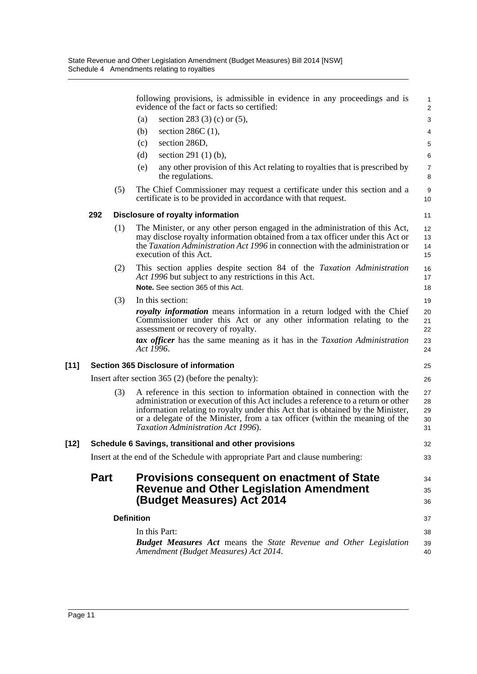|        |                                              |     |                   | following provisions, is admissible in evidence in any proceedings and is<br>evidence of the fact or facts so certified:                                                                                                                                                                                                                                                  | $\mathbf{1}$<br>$\overline{2}$ |  |
|--------|----------------------------------------------|-----|-------------------|---------------------------------------------------------------------------------------------------------------------------------------------------------------------------------------------------------------------------------------------------------------------------------------------------------------------------------------------------------------------------|--------------------------------|--|
|        |                                              |     | (a)               | section 283 (3) (c) or $(5)$ ,                                                                                                                                                                                                                                                                                                                                            | 3                              |  |
|        |                                              |     | (b)               | section $286C(1)$ ,                                                                                                                                                                                                                                                                                                                                                       | 4                              |  |
|        |                                              |     | (c)               | section 286D,                                                                                                                                                                                                                                                                                                                                                             | 5                              |  |
|        |                                              |     | (d)               | section 291 $(1)$ $(b)$ ,                                                                                                                                                                                                                                                                                                                                                 | 6                              |  |
|        |                                              |     | (e)               | any other provision of this Act relating to royalties that is prescribed by<br>the regulations.                                                                                                                                                                                                                                                                           | $\boldsymbol{7}$<br>8          |  |
|        |                                              | (5) |                   | The Chief Commissioner may request a certificate under this section and a<br>certificate is to be provided in accordance with that request.                                                                                                                                                                                                                               | 9<br>10                        |  |
|        | 292                                          |     |                   | Disclosure of royalty information                                                                                                                                                                                                                                                                                                                                         | 11                             |  |
|        |                                              | (1) |                   | The Minister, or any other person engaged in the administration of this Act,<br>may disclose royalty information obtained from a tax officer under this Act or<br>the <i>Taxation Administration Act 1996</i> in connection with the administration or<br>execution of this Act.                                                                                          | 12<br>13<br>14<br>15           |  |
|        |                                              | (2) |                   | This section applies despite section 84 of the Taxation Administration<br>Act 1996 but subject to any restrictions in this Act.<br>Note. See section 365 of this Act.                                                                                                                                                                                                     | 16<br>17<br>18                 |  |
|        |                                              | (3) |                   | In this section:                                                                                                                                                                                                                                                                                                                                                          | 19                             |  |
|        |                                              |     | Act 1996.         | royalty information means information in a return lodged with the Chief<br>Commissioner under this Act or any other information relating to the<br>assessment or recovery of royalty.<br>tax officer has the same meaning as it has in the Taxation Administration                                                                                                        | 20<br>21<br>22<br>23           |  |
|        |                                              |     |                   |                                                                                                                                                                                                                                                                                                                                                                           | 24<br>25                       |  |
| $[11]$ | <b>Section 365 Disclosure of information</b> |     |                   |                                                                                                                                                                                                                                                                                                                                                                           |                                |  |
|        |                                              |     |                   | Insert after section 365 $(2)$ (before the penalty):                                                                                                                                                                                                                                                                                                                      | 26                             |  |
|        |                                              | (3) |                   | A reference in this section to information obtained in connection with the<br>administration or execution of this Act includes a reference to a return or other<br>information relating to royalty under this Act that is obtained by the Minister,<br>or a delegate of the Minister, from a tax officer (within the meaning of the<br>Taxation Administration Act 1996). | 27<br>28<br>29<br>30<br>31     |  |
| $[12]$ |                                              |     |                   | Schedule 6 Savings, transitional and other provisions                                                                                                                                                                                                                                                                                                                     | 32                             |  |
|        |                                              |     |                   | Insert at the end of the Schedule with appropriate Part and clause numbering:                                                                                                                                                                                                                                                                                             | 33                             |  |
|        | <b>Part</b>                                  |     |                   | <b>Provisions consequent on enactment of State</b><br><b>Revenue and Other Legislation Amendment</b><br>(Budget Measures) Act 2014                                                                                                                                                                                                                                        | 34<br>35<br>36                 |  |
|        |                                              |     | <b>Definition</b> |                                                                                                                                                                                                                                                                                                                                                                           | 37                             |  |
|        |                                              |     |                   | In this Part:                                                                                                                                                                                                                                                                                                                                                             | 38                             |  |
|        |                                              |     |                   | <b>Budget Measures Act means the State Revenue and Other Legislation</b><br>Amendment (Budget Measures) Act 2014.                                                                                                                                                                                                                                                         | 39<br>40                       |  |
|        |                                              |     |                   |                                                                                                                                                                                                                                                                                                                                                                           |                                |  |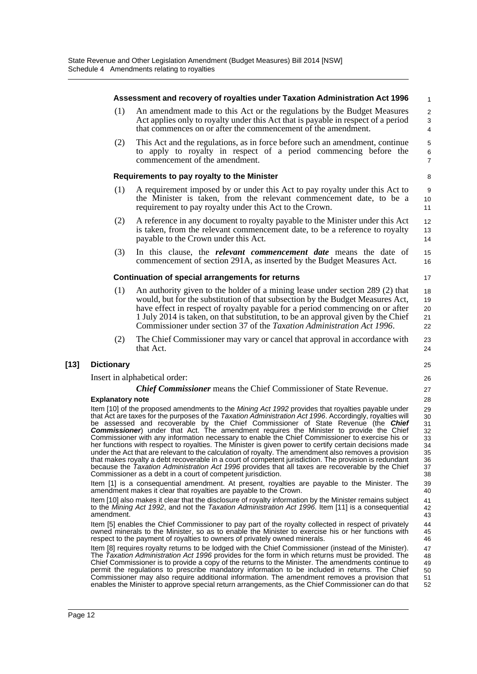|        |                                                                                                                                                                                                                                                                                                                                                                                                                                                                                                                                                                                                                                                                                                                                                                                                                                                                                                                                                                                                                                      | Assessment and recovery of royalties under Taxation Administration Act 1996                                                                                                                                                                                                                                                                                                                                                                                                                                                                                                                                              | $\mathbf{1}$                                     |  |  |  |  |
|--------|--------------------------------------------------------------------------------------------------------------------------------------------------------------------------------------------------------------------------------------------------------------------------------------------------------------------------------------------------------------------------------------------------------------------------------------------------------------------------------------------------------------------------------------------------------------------------------------------------------------------------------------------------------------------------------------------------------------------------------------------------------------------------------------------------------------------------------------------------------------------------------------------------------------------------------------------------------------------------------------------------------------------------------------|--------------------------------------------------------------------------------------------------------------------------------------------------------------------------------------------------------------------------------------------------------------------------------------------------------------------------------------------------------------------------------------------------------------------------------------------------------------------------------------------------------------------------------------------------------------------------------------------------------------------------|--------------------------------------------------|--|--|--|--|
|        | (1)                                                                                                                                                                                                                                                                                                                                                                                                                                                                                                                                                                                                                                                                                                                                                                                                                                                                                                                                                                                                                                  | An amendment made to this Act or the regulations by the Budget Measures<br>Act applies only to royalty under this Act that is payable in respect of a period<br>that commences on or after the commencement of the amendment.                                                                                                                                                                                                                                                                                                                                                                                            | $\overline{c}$<br>$\ensuremath{\mathsf{3}}$<br>4 |  |  |  |  |
|        | (2)                                                                                                                                                                                                                                                                                                                                                                                                                                                                                                                                                                                                                                                                                                                                                                                                                                                                                                                                                                                                                                  | This Act and the regulations, as in force before such an amendment, continue<br>to apply to royalty in respect of a period commencing before the<br>commencement of the amendment.                                                                                                                                                                                                                                                                                                                                                                                                                                       | 5<br>$\,6$<br>$\overline{7}$                     |  |  |  |  |
|        |                                                                                                                                                                                                                                                                                                                                                                                                                                                                                                                                                                                                                                                                                                                                                                                                                                                                                                                                                                                                                                      | Requirements to pay royalty to the Minister                                                                                                                                                                                                                                                                                                                                                                                                                                                                                                                                                                              | 8                                                |  |  |  |  |
|        | (1)                                                                                                                                                                                                                                                                                                                                                                                                                                                                                                                                                                                                                                                                                                                                                                                                                                                                                                                                                                                                                                  | A requirement imposed by or under this Act to pay royalty under this Act to<br>the Minister is taken, from the relevant commencement date, to be a<br>requirement to pay royalty under this Act to the Crown.                                                                                                                                                                                                                                                                                                                                                                                                            | 9<br>10<br>11                                    |  |  |  |  |
|        | (2)                                                                                                                                                                                                                                                                                                                                                                                                                                                                                                                                                                                                                                                                                                                                                                                                                                                                                                                                                                                                                                  | A reference in any document to royalty payable to the Minister under this Act<br>is taken, from the relevant commencement date, to be a reference to royalty<br>payable to the Crown under this Act.                                                                                                                                                                                                                                                                                                                                                                                                                     | 12<br>13<br>14                                   |  |  |  |  |
|        | (3)                                                                                                                                                                                                                                                                                                                                                                                                                                                                                                                                                                                                                                                                                                                                                                                                                                                                                                                                                                                                                                  | In this clause, the <i>relevant commencement date</i> means the date of<br>commencement of section 291A, as inserted by the Budget Measures Act.                                                                                                                                                                                                                                                                                                                                                                                                                                                                         | 15<br>16                                         |  |  |  |  |
|        |                                                                                                                                                                                                                                                                                                                                                                                                                                                                                                                                                                                                                                                                                                                                                                                                                                                                                                                                                                                                                                      | Continuation of special arrangements for returns                                                                                                                                                                                                                                                                                                                                                                                                                                                                                                                                                                         | 17                                               |  |  |  |  |
|        | (1)                                                                                                                                                                                                                                                                                                                                                                                                                                                                                                                                                                                                                                                                                                                                                                                                                                                                                                                                                                                                                                  | An authority given to the holder of a mining lease under section 289 (2) that<br>would, but for the substitution of that subsection by the Budget Measures Act,<br>have effect in respect of royalty payable for a period commencing on or after<br>1 July 2014 is taken, on that substitution, to be an approval given by the Chief<br>Commissioner under section 37 of the Taxation Administration Act 1996.                                                                                                                                                                                                           | 18<br>19<br>20<br>21<br>22                       |  |  |  |  |
|        | (2)                                                                                                                                                                                                                                                                                                                                                                                                                                                                                                                                                                                                                                                                                                                                                                                                                                                                                                                                                                                                                                  | The Chief Commissioner may vary or cancel that approval in accordance with<br>that Act.                                                                                                                                                                                                                                                                                                                                                                                                                                                                                                                                  | 23<br>24                                         |  |  |  |  |
| $[13]$ | <b>Dictionary</b>                                                                                                                                                                                                                                                                                                                                                                                                                                                                                                                                                                                                                                                                                                                                                                                                                                                                                                                                                                                                                    |                                                                                                                                                                                                                                                                                                                                                                                                                                                                                                                                                                                                                          | 25                                               |  |  |  |  |
|        | Insert in alphabetical order:                                                                                                                                                                                                                                                                                                                                                                                                                                                                                                                                                                                                                                                                                                                                                                                                                                                                                                                                                                                                        |                                                                                                                                                                                                                                                                                                                                                                                                                                                                                                                                                                                                                          |                                                  |  |  |  |  |
|        |                                                                                                                                                                                                                                                                                                                                                                                                                                                                                                                                                                                                                                                                                                                                                                                                                                                                                                                                                                                                                                      | <b>Chief Commissioner</b> means the Chief Commissioner of State Revenue.                                                                                                                                                                                                                                                                                                                                                                                                                                                                                                                                                 | 27<br>28                                         |  |  |  |  |
|        | <b>Explanatory note</b><br>Item [10] of the proposed amendments to the Mining Act 1992 provides that royalties payable under<br>that Act are taxes for the purposes of the Taxation Administration Act 1996. Accordingly, royalties will<br>be assessed and recoverable by the Chief Commissioner of State Revenue (the Chief<br><b>Commissioner</b> ) under that Act. The amendment requires the Minister to provide the Chief<br>Commissioner with any information necessary to enable the Chief Commissioner to exercise his or<br>her functions with respect to royalties. The Minister is given power to certify certain decisions made<br>under the Act that are relevant to the calculation of royalty. The amendment also removes a provision<br>that makes royalty a debt recoverable in a court of competent jurisdiction. The provision is redundant<br>because the Taxation Administration Act 1996 provides that all taxes are recoverable by the Chief<br>Commissioner as a debt in a court of competent jurisdiction. |                                                                                                                                                                                                                                                                                                                                                                                                                                                                                                                                                                                                                          |                                                  |  |  |  |  |
|        |                                                                                                                                                                                                                                                                                                                                                                                                                                                                                                                                                                                                                                                                                                                                                                                                                                                                                                                                                                                                                                      | Item [1] is a consequential amendment. At present, royalties are payable to the Minister. The<br>amendment makes it clear that royalties are payable to the Crown.                                                                                                                                                                                                                                                                                                                                                                                                                                                       | 39<br>40                                         |  |  |  |  |
|        | amendment.                                                                                                                                                                                                                                                                                                                                                                                                                                                                                                                                                                                                                                                                                                                                                                                                                                                                                                                                                                                                                           | Item [10] also makes it clear that the disclosure of royalty information by the Minister remains subject<br>to the Mining Act 1992, and not the Taxation Administration Act 1996. Item [11] is a consequential                                                                                                                                                                                                                                                                                                                                                                                                           | 41<br>42<br>43                                   |  |  |  |  |
|        |                                                                                                                                                                                                                                                                                                                                                                                                                                                                                                                                                                                                                                                                                                                                                                                                                                                                                                                                                                                                                                      | Item [5] enables the Chief Commissioner to pay part of the royalty collected in respect of privately<br>owned minerals to the Minister, so as to enable the Minister to exercise his or her functions with<br>respect to the payment of royalties to owners of privately owned minerals.                                                                                                                                                                                                                                                                                                                                 | 44<br>45<br>46                                   |  |  |  |  |
|        |                                                                                                                                                                                                                                                                                                                                                                                                                                                                                                                                                                                                                                                                                                                                                                                                                                                                                                                                                                                                                                      | Item [8] requires royalty returns to be lodged with the Chief Commissioner (instead of the Minister).<br>The Taxation Administration Act 1996 provides for the form in which returns must be provided. The<br>Chief Commissioner is to provide a copy of the returns to the Minister. The amendments continue to<br>permit the regulations to prescribe mandatory information to be included in returns. The Chief<br>Commissioner may also require additional information. The amendment removes a provision that<br>enables the Minister to approve special return arrangements, as the Chief Commissioner can do that | 47<br>48<br>49<br>50<br>51<br>52                 |  |  |  |  |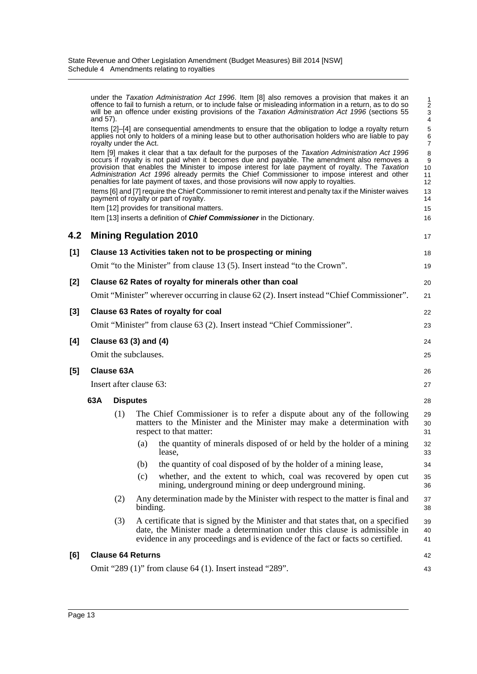|                                                                                           | and 57).                                   |                          |          | under the Taxation Administration Act 1996. Item [8] also removes a provision that makes it an<br>offence to fail to furnish a return, or to include false or misleading information in a return, as to do so<br>will be an offence under existing provisions of the Taxation Administration Act 1996 (sections 55                                                                                                                                                                              | 1<br>$\sqrt{2}$<br>$\ensuremath{\mathsf{3}}$<br>$\overline{4}$ |
|-------------------------------------------------------------------------------------------|--------------------------------------------|--------------------------|----------|-------------------------------------------------------------------------------------------------------------------------------------------------------------------------------------------------------------------------------------------------------------------------------------------------------------------------------------------------------------------------------------------------------------------------------------------------------------------------------------------------|----------------------------------------------------------------|
|                                                                                           |                                            | royalty under the Act.   |          | Items [2]–[4] are consequential amendments to ensure that the obligation to lodge a royalty return<br>applies not only to holders of a mining lease but to other authorisation holders who are liable to pay                                                                                                                                                                                                                                                                                    | 5<br>6<br>$\overline{7}$                                       |
|                                                                                           |                                            |                          |          | Item [9] makes it clear that a tax default for the purposes of the Taxation Administration Act 1996<br>occurs if royalty is not paid when it becomes due and payable. The amendment also removes a<br>provision that enables the Minister to impose interest for late payment of royalty. The Taxation<br>Administration Act 1996 already permits the Chief Commissioner to impose interest and other<br>penalties for late payment of taxes, and those provisions will now apply to royalties. | 8<br>9<br>10<br>11<br>12                                       |
|                                                                                           |                                            |                          |          | Items [6] and [7] require the Chief Commissioner to remit interest and penalty tax if the Minister waives<br>payment of royalty or part of royalty.                                                                                                                                                                                                                                                                                                                                             | 13<br>14                                                       |
|                                                                                           |                                            |                          |          | Item [12] provides for transitional matters.<br>Item [13] inserts a definition of <b>Chief Commissioner</b> in the Dictionary.                                                                                                                                                                                                                                                                                                                                                                  | 15<br>16                                                       |
| 4.2                                                                                       |                                            |                          |          | <b>Mining Regulation 2010</b>                                                                                                                                                                                                                                                                                                                                                                                                                                                                   |                                                                |
|                                                                                           |                                            |                          |          |                                                                                                                                                                                                                                                                                                                                                                                                                                                                                                 | 17                                                             |
| [1]                                                                                       |                                            |                          |          | Clause 13 Activities taken not to be prospecting or mining                                                                                                                                                                                                                                                                                                                                                                                                                                      | 18                                                             |
|                                                                                           |                                            |                          |          | Omit "to the Minister" from clause 13 (5). Insert instead "to the Crown".                                                                                                                                                                                                                                                                                                                                                                                                                       | 19                                                             |
| $[2]$                                                                                     |                                            |                          |          | Clause 62 Rates of royalty for minerals other than coal                                                                                                                                                                                                                                                                                                                                                                                                                                         | 20                                                             |
| Omit "Minister" wherever occurring in clause 62 (2). Insert instead "Chief Commissioner". |                                            |                          |          |                                                                                                                                                                                                                                                                                                                                                                                                                                                                                                 | 21                                                             |
| [3]                                                                                       | <b>Clause 63 Rates of royalty for coal</b> |                          |          |                                                                                                                                                                                                                                                                                                                                                                                                                                                                                                 |                                                                |
|                                                                                           |                                            |                          |          | Omit "Minister" from clause 63 (2). Insert instead "Chief Commissioner".                                                                                                                                                                                                                                                                                                                                                                                                                        | 23                                                             |
| [4]                                                                                       |                                            | Clause 63 (3) and (4)    |          |                                                                                                                                                                                                                                                                                                                                                                                                                                                                                                 | 24                                                             |
|                                                                                           |                                            | Omit the subclauses.     |          |                                                                                                                                                                                                                                                                                                                                                                                                                                                                                                 | 25                                                             |
| [5]                                                                                       |                                            | <b>Clause 63A</b>        |          |                                                                                                                                                                                                                                                                                                                                                                                                                                                                                                 | 26                                                             |
|                                                                                           |                                            | Insert after clause 63:  |          |                                                                                                                                                                                                                                                                                                                                                                                                                                                                                                 | 27                                                             |
|                                                                                           | 63A                                        | <b>Disputes</b>          |          |                                                                                                                                                                                                                                                                                                                                                                                                                                                                                                 |                                                                |
|                                                                                           |                                            | (1)                      |          | The Chief Commissioner is to refer a dispute about any of the following                                                                                                                                                                                                                                                                                                                                                                                                                         | 28                                                             |
|                                                                                           |                                            |                          |          | matters to the Minister and the Minister may make a determination with<br>respect to that matter:                                                                                                                                                                                                                                                                                                                                                                                               | 29<br>30<br>31                                                 |
|                                                                                           |                                            |                          | (a)      | the quantity of minerals disposed of or held by the holder of a mining<br>lease,                                                                                                                                                                                                                                                                                                                                                                                                                | 32<br>33                                                       |
|                                                                                           |                                            |                          | (b)      | the quantity of coal disposed of by the holder of a mining lease,                                                                                                                                                                                                                                                                                                                                                                                                                               | 34                                                             |
|                                                                                           |                                            |                          | (c)      | whether, and the extent to which, coal was recovered by open cut<br>mining, underground mining or deep underground mining.                                                                                                                                                                                                                                                                                                                                                                      | 35<br>36                                                       |
|                                                                                           |                                            | (2)                      | binding. | Any determination made by the Minister with respect to the matter is final and                                                                                                                                                                                                                                                                                                                                                                                                                  | 37<br>38                                                       |
|                                                                                           |                                            | (3)                      |          | A certificate that is signed by the Minister and that states that, on a specified<br>date, the Minister made a determination under this clause is admissible in<br>evidence in any proceedings and is evidence of the fact or facts so certified.                                                                                                                                                                                                                                               | 39<br>40<br>41                                                 |
| [6]                                                                                       |                                            | <b>Clause 64 Returns</b> |          |                                                                                                                                                                                                                                                                                                                                                                                                                                                                                                 | 42                                                             |
|                                                                                           |                                            |                          |          | Omit "289 (1)" from clause 64 (1). Insert instead "289".                                                                                                                                                                                                                                                                                                                                                                                                                                        | 43                                                             |
|                                                                                           |                                            |                          |          |                                                                                                                                                                                                                                                                                                                                                                                                                                                                                                 |                                                                |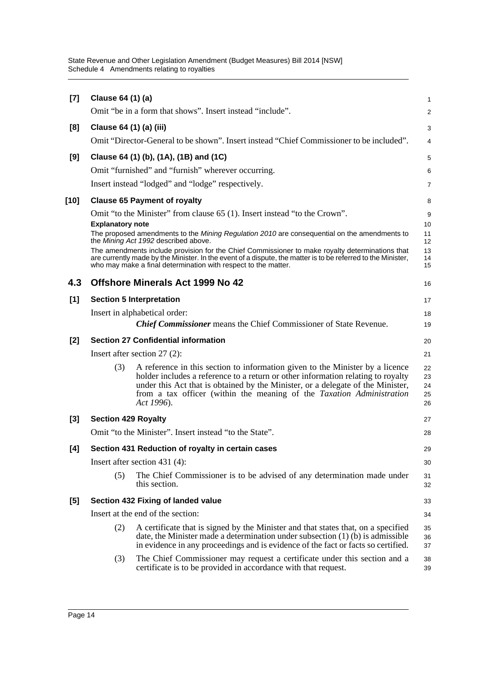| $[7]$ | Clause 64 (1) (a)          |                                                                                                                                                                                                                                                                                                                                             | 1                          |
|-------|----------------------------|---------------------------------------------------------------------------------------------------------------------------------------------------------------------------------------------------------------------------------------------------------------------------------------------------------------------------------------------|----------------------------|
|       |                            | Omit "be in a form that shows". Insert instead "include".                                                                                                                                                                                                                                                                                   | $\overline{a}$             |
| [8]   | Clause 64 (1) (a) (iii)    |                                                                                                                                                                                                                                                                                                                                             | 3                          |
|       |                            | Omit "Director-General to be shown". Insert instead "Chief Commissioner to be included".                                                                                                                                                                                                                                                    | 4                          |
| [9]   |                            | Clause 64 (1) (b), (1A), (1B) and (1C)                                                                                                                                                                                                                                                                                                      | 5                          |
|       |                            | Omit "furnished" and "furnish" wherever occurring.                                                                                                                                                                                                                                                                                          | 6                          |
|       |                            | Insert instead "lodged" and "lodge" respectively.                                                                                                                                                                                                                                                                                           | 7                          |
| [10]  |                            | <b>Clause 65 Payment of royalty</b>                                                                                                                                                                                                                                                                                                         | 8                          |
|       |                            | Omit "to the Minister" from clause 65 (1). Insert instead "to the Crown".                                                                                                                                                                                                                                                                   | 9                          |
|       | <b>Explanatory note</b>    |                                                                                                                                                                                                                                                                                                                                             | 10                         |
|       |                            | The proposed amendments to the Mining Regulation 2010 are consequential on the amendments to<br>the Mining Act 1992 described above.                                                                                                                                                                                                        | 11<br>12                   |
|       |                            | The amendments include provision for the Chief Commissioner to make royalty determinations that<br>are currently made by the Minister. In the event of a dispute, the matter is to be referred to the Minister,<br>who may make a final determination with respect to the matter.                                                           | 13<br>14<br>15             |
| 4.3   |                            | <b>Offshore Minerals Act 1999 No 42</b>                                                                                                                                                                                                                                                                                                     | 16                         |
| [1]   |                            | <b>Section 5 Interpretation</b>                                                                                                                                                                                                                                                                                                             | 17                         |
|       |                            | Insert in alphabetical order:                                                                                                                                                                                                                                                                                                               | 18                         |
|       |                            | <b>Chief Commissioner</b> means the Chief Commissioner of State Revenue.                                                                                                                                                                                                                                                                    | 19                         |
| $[2]$ |                            | <b>Section 27 Confidential information</b>                                                                                                                                                                                                                                                                                                  | 20                         |
|       |                            | Insert after section $27(2)$ :                                                                                                                                                                                                                                                                                                              | 21                         |
|       | (3)                        | A reference in this section to information given to the Minister by a licence<br>holder includes a reference to a return or other information relating to royalty<br>under this Act that is obtained by the Minister, or a delegate of the Minister,<br>from a tax officer (within the meaning of the Taxation Administration<br>Act 1996). | 22<br>23<br>24<br>25<br>26 |
| $[3]$ | <b>Section 429 Royalty</b> |                                                                                                                                                                                                                                                                                                                                             | 27                         |
|       |                            | Omit "to the Minister". Insert instead "to the State".                                                                                                                                                                                                                                                                                      | 28                         |
| [4]   |                            | Section 431 Reduction of royalty in certain cases                                                                                                                                                                                                                                                                                           | 29                         |
|       |                            | Insert after section 431 $(4)$ :                                                                                                                                                                                                                                                                                                            | 30                         |
|       | (5)                        | The Chief Commissioner is to be advised of any determination made under<br>this section.                                                                                                                                                                                                                                                    | 31<br>32                   |
| [5]   |                            | Section 432 Fixing of landed value                                                                                                                                                                                                                                                                                                          | 33                         |
|       |                            | Insert at the end of the section:                                                                                                                                                                                                                                                                                                           | 34                         |
|       | (2)                        | A certificate that is signed by the Minister and that states that, on a specified<br>date, the Minister made a determination under subsection (1) (b) is admissible<br>in evidence in any proceedings and is evidence of the fact or facts so certified.                                                                                    | 35<br>36<br>37             |
|       | (3)                        | The Chief Commissioner may request a certificate under this section and a<br>certificate is to be provided in accordance with that request.                                                                                                                                                                                                 | 38<br>39                   |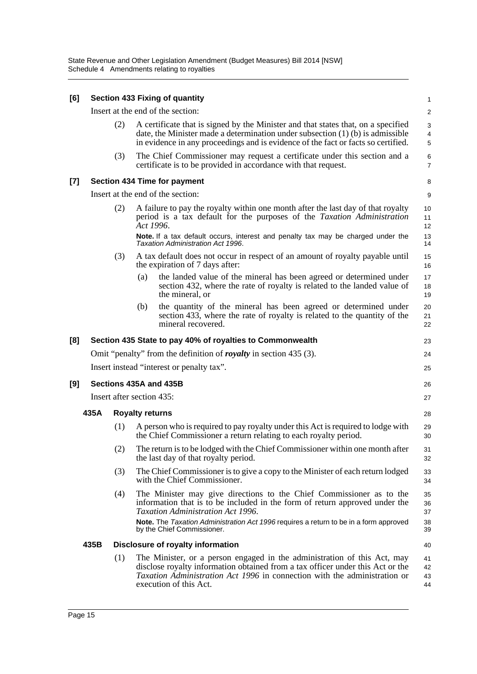| [6]   |                                                                          |                              |     | <b>Section 433 Fixing of quantity</b>                                                                                                                                                                                                                                                                           | 1                          |  |  |  |
|-------|--------------------------------------------------------------------------|------------------------------|-----|-----------------------------------------------------------------------------------------------------------------------------------------------------------------------------------------------------------------------------------------------------------------------------------------------------------------|----------------------------|--|--|--|
|       |                                                                          |                              |     | Insert at the end of the section:                                                                                                                                                                                                                                                                               | 2                          |  |  |  |
|       |                                                                          | (2)                          |     | A certificate that is signed by the Minister and that states that, on a specified<br>date, the Minister made a determination under subsection $(1)$ (b) is admissible<br>in evidence in any proceedings and is evidence of the fact or facts so certified.                                                      | 3<br>4<br>5                |  |  |  |
|       |                                                                          | (3)                          |     | The Chief Commissioner may request a certificate under this section and a<br>certificate is to be provided in accordance with that request.                                                                                                                                                                     | 6<br>$\overline{7}$        |  |  |  |
| $[7]$ |                                                                          |                              |     | <b>Section 434 Time for payment</b>                                                                                                                                                                                                                                                                             | 8                          |  |  |  |
|       |                                                                          |                              |     | Insert at the end of the section:                                                                                                                                                                                                                                                                               | $\boldsymbol{9}$           |  |  |  |
|       |                                                                          | (2)                          |     | A failure to pay the royalty within one month after the last day of that royalty<br>period is a tax default for the purposes of the Taxation Administration<br>Act 1996.                                                                                                                                        | 10<br>11<br>12             |  |  |  |
|       |                                                                          |                              |     | Note. If a tax default occurs, interest and penalty tax may be charged under the<br>Taxation Administration Act 1996.                                                                                                                                                                                           | 13<br>14                   |  |  |  |
|       |                                                                          | (3)                          |     | A tax default does not occur in respect of an amount of royalty payable until<br>the expiration of 7 days after:                                                                                                                                                                                                | 15<br>16                   |  |  |  |
|       |                                                                          |                              | (a) | the landed value of the mineral has been agreed or determined under<br>section 432, where the rate of royalty is related to the landed value of<br>the mineral, or                                                                                                                                              | 17<br>18<br>19             |  |  |  |
|       |                                                                          |                              | (b) | the quantity of the mineral has been agreed or determined under<br>section 433, where the rate of royalty is related to the quantity of the<br>mineral recovered.                                                                                                                                               | 20<br>21<br>22             |  |  |  |
| [8]   |                                                                          |                              |     | Section 435 State to pay 40% of royalties to Commonwealth                                                                                                                                                                                                                                                       | 23                         |  |  |  |
|       | Omit "penalty" from the definition of <i>royalty</i> in section 435 (3). |                              |     |                                                                                                                                                                                                                                                                                                                 |                            |  |  |  |
|       |                                                                          |                              |     | Insert instead "interest or penalty tax".                                                                                                                                                                                                                                                                       | 25                         |  |  |  |
| [9]   |                                                                          |                              |     | Sections 435A and 435B                                                                                                                                                                                                                                                                                          | 26                         |  |  |  |
|       | Insert after section 435:                                                |                              |     |                                                                                                                                                                                                                                                                                                                 |                            |  |  |  |
|       | 435A                                                                     | <b>Royalty returns</b><br>28 |     |                                                                                                                                                                                                                                                                                                                 |                            |  |  |  |
|       |                                                                          | (1)                          |     | A person who is required to pay royalty under this Act is required to lodge with<br>the Chief Commissioner a return relating to each royalty period.                                                                                                                                                            | 29<br>30                   |  |  |  |
|       |                                                                          | (2)                          |     | The return is to be lodged with the Chief Commissioner within one month after<br>the last day of that royalty period.                                                                                                                                                                                           | 31<br>32                   |  |  |  |
|       |                                                                          | (3)                          |     | The Chief Commissioner is to give a copy to the Minister of each return lodged<br>with the Chief Commissioner.                                                                                                                                                                                                  | 33<br>34                   |  |  |  |
|       |                                                                          | (4)                          |     | The Minister may give directions to the Chief Commissioner as to the<br>information that is to be included in the form of return approved under the<br>Taxation Administration Act 1996.<br>Note. The Taxation Administration Act 1996 requires a return to be in a form approved<br>by the Chief Commissioner. | 35<br>36<br>37<br>38<br>39 |  |  |  |
|       | 435B                                                                     |                              |     | Disclosure of royalty information                                                                                                                                                                                                                                                                               | 40                         |  |  |  |
|       |                                                                          | (1)                          |     | The Minister, or a person engaged in the administration of this Act, may<br>disclose royalty information obtained from a tax officer under this Act or the<br>Taxation Administration Act 1996 in connection with the administration or<br>execution of this Act.                                               | 41<br>42<br>43<br>44       |  |  |  |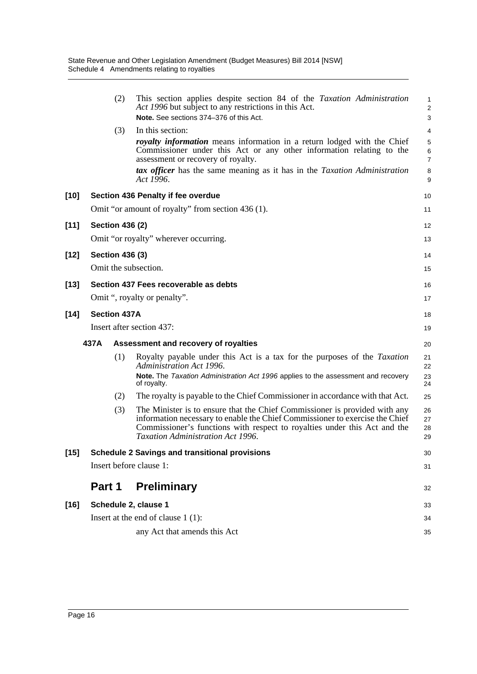|        | (2)                    | This section applies despite section 84 of the Taxation Administration<br>Act 1996 but subject to any restrictions in this Act.<br>Note. See sections 374-376 of this Act.                                                                                                                                                                                    | 1<br>$\overline{2}$<br>3                                           |
|--------|------------------------|---------------------------------------------------------------------------------------------------------------------------------------------------------------------------------------------------------------------------------------------------------------------------------------------------------------------------------------------------------------|--------------------------------------------------------------------|
|        | (3)                    | In this section:<br>royalty information means information in a return lodged with the Chief<br>Commissioner under this Act or any other information relating to the<br>assessment or recovery of royalty.<br>tax officer has the same meaning as it has in the Taxation Administration<br>Act 1996.                                                           | $\overline{4}$<br>$\mathbf 5$<br>$\,6$<br>$\overline{7}$<br>8<br>9 |
| $[10]$ |                        | Section 436 Penalty if fee overdue                                                                                                                                                                                                                                                                                                                            | 10                                                                 |
|        |                        | Omit "or amount of royalty" from section 436 (1).                                                                                                                                                                                                                                                                                                             | 11                                                                 |
| $[11]$ | <b>Section 436 (2)</b> |                                                                                                                                                                                                                                                                                                                                                               | 12                                                                 |
|        |                        | Omit "or royalty" wherever occurring.                                                                                                                                                                                                                                                                                                                         | 13                                                                 |
| $[12]$ | <b>Section 436 (3)</b> |                                                                                                                                                                                                                                                                                                                                                               | 14                                                                 |
|        | Omit the subsection.   |                                                                                                                                                                                                                                                                                                                                                               | 15                                                                 |
| $[13]$ |                        | Section 437 Fees recoverable as debts                                                                                                                                                                                                                                                                                                                         | 16                                                                 |
|        |                        | Omit ", royalty or penalty".                                                                                                                                                                                                                                                                                                                                  | 17                                                                 |
| $[14]$ | <b>Section 437A</b>    |                                                                                                                                                                                                                                                                                                                                                               | 18                                                                 |
|        |                        | Insert after section 437:                                                                                                                                                                                                                                                                                                                                     | 19                                                                 |
|        |                        |                                                                                                                                                                                                                                                                                                                                                               |                                                                    |
|        | 437A                   | Assessment and recovery of royalties                                                                                                                                                                                                                                                                                                                          | 20                                                                 |
|        | (1)                    | Royalty payable under this Act is a tax for the purposes of the Taxation<br>Administration Act 1996.<br>Note. The Taxation Administration Act 1996 applies to the assessment and recovery                                                                                                                                                                     | 21<br>22<br>23                                                     |
|        |                        | of royalty.                                                                                                                                                                                                                                                                                                                                                   | 24<br>25                                                           |
|        | (2)<br>(3)             | The royalty is payable to the Chief Commissioner in accordance with that Act.<br>The Minister is to ensure that the Chief Commissioner is provided with any<br>information necessary to enable the Chief Commissioner to exercise the Chief<br>Commissioner's functions with respect to royalties under this Act and the<br>Taxation Administration Act 1996. | 26<br>27<br>28<br>29                                               |
| $[15]$ |                        | <b>Schedule 2 Savings and transitional provisions</b>                                                                                                                                                                                                                                                                                                         | 30                                                                 |
|        |                        | Insert before clause 1:                                                                                                                                                                                                                                                                                                                                       | 31                                                                 |
|        | Part 1                 | <b>Preliminary</b>                                                                                                                                                                                                                                                                                                                                            | 32                                                                 |
| $[16]$ | Schedule 2, clause 1   |                                                                                                                                                                                                                                                                                                                                                               | 33                                                                 |
|        |                        | Insert at the end of clause $1(1)$ :                                                                                                                                                                                                                                                                                                                          | 34                                                                 |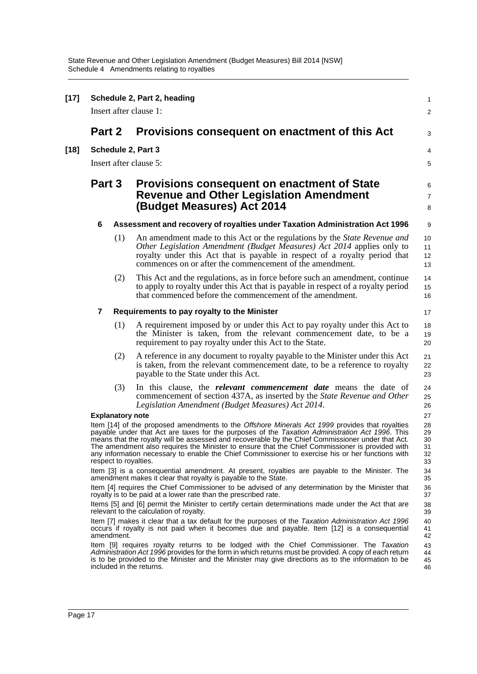| $[17]$ | Schedule 2, Part 2, heading<br>Insert after clause 1:                                                                                                                       |                                                                                                                                                                                                                                                                                                                                                                            |                                                                                                                                                                                                                                                                                                                                                                                                                                                                                                                                        |                                  |  |  |  |  |  |
|--------|-----------------------------------------------------------------------------------------------------------------------------------------------------------------------------|----------------------------------------------------------------------------------------------------------------------------------------------------------------------------------------------------------------------------------------------------------------------------------------------------------------------------------------------------------------------------|----------------------------------------------------------------------------------------------------------------------------------------------------------------------------------------------------------------------------------------------------------------------------------------------------------------------------------------------------------------------------------------------------------------------------------------------------------------------------------------------------------------------------------------|----------------------------------|--|--|--|--|--|
|        | Part 2                                                                                                                                                                      |                                                                                                                                                                                                                                                                                                                                                                            | Provisions consequent on enactment of this Act                                                                                                                                                                                                                                                                                                                                                                                                                                                                                         | 3                                |  |  |  |  |  |
| [18]   | Schedule 2, Part 3<br>Insert after clause 5:                                                                                                                                |                                                                                                                                                                                                                                                                                                                                                                            |                                                                                                                                                                                                                                                                                                                                                                                                                                                                                                                                        |                                  |  |  |  |  |  |
|        | Part 3                                                                                                                                                                      |                                                                                                                                                                                                                                                                                                                                                                            | <b>Provisions consequent on enactment of State</b><br><b>Revenue and Other Legislation Amendment</b><br>(Budget Measures) Act 2014                                                                                                                                                                                                                                                                                                                                                                                                     |                                  |  |  |  |  |  |
|        | 6                                                                                                                                                                           |                                                                                                                                                                                                                                                                                                                                                                            | Assessment and recovery of royalties under Taxation Administration Act 1996                                                                                                                                                                                                                                                                                                                                                                                                                                                            | 9                                |  |  |  |  |  |
|        |                                                                                                                                                                             | (1)                                                                                                                                                                                                                                                                                                                                                                        | An amendment made to this Act or the regulations by the <i>State Revenue and</i><br>Other Legislation Amendment (Budget Measures) Act 2014 applies only to<br>royalty under this Act that is payable in respect of a royalty period that<br>commences on or after the commencement of the amendment.                                                                                                                                                                                                                                   | 10<br>11<br>12<br>13             |  |  |  |  |  |
|        |                                                                                                                                                                             | (2)                                                                                                                                                                                                                                                                                                                                                                        | This Act and the regulations, as in force before such an amendment, continue<br>to apply to royalty under this Act that is payable in respect of a royalty period<br>that commenced before the commencement of the amendment.                                                                                                                                                                                                                                                                                                          | 14<br>15<br>16                   |  |  |  |  |  |
|        | 7                                                                                                                                                                           |                                                                                                                                                                                                                                                                                                                                                                            | Requirements to pay royalty to the Minister                                                                                                                                                                                                                                                                                                                                                                                                                                                                                            | 17                               |  |  |  |  |  |
|        |                                                                                                                                                                             | (1)                                                                                                                                                                                                                                                                                                                                                                        | A requirement imposed by or under this Act to pay royalty under this Act to<br>the Minister is taken, from the relevant commencement date, to be a<br>requirement to pay royalty under this Act to the State.                                                                                                                                                                                                                                                                                                                          | 18<br>19<br>20                   |  |  |  |  |  |
|        |                                                                                                                                                                             | (2)                                                                                                                                                                                                                                                                                                                                                                        | A reference in any document to royalty payable to the Minister under this Act<br>is taken, from the relevant commencement date, to be a reference to royalty<br>payable to the State under this Act.                                                                                                                                                                                                                                                                                                                                   | 21<br>22<br>23                   |  |  |  |  |  |
|        |                                                                                                                                                                             | (3)                                                                                                                                                                                                                                                                                                                                                                        | In this clause, the <i>relevant commencement date</i> means the date of<br>commencement of section 437A, as inserted by the State Revenue and Other<br>Legislation Amendment (Budget Measures) Act 2014.                                                                                                                                                                                                                                                                                                                               | 24<br>25<br>26                   |  |  |  |  |  |
|        |                                                                                                                                                                             | <b>Explanatory note</b>                                                                                                                                                                                                                                                                                                                                                    |                                                                                                                                                                                                                                                                                                                                                                                                                                                                                                                                        | 27                               |  |  |  |  |  |
|        |                                                                                                                                                                             |                                                                                                                                                                                                                                                                                                                                                                            | Item [14] of the proposed amendments to the Offshore Minerals Act 1999 provides that royalties<br>payable under that Act are taxes for the purposes of the Taxation Administration Act 1996. This<br>means that the royalty will be assessed and recoverable by the Chief Commissioner under that Act.<br>The amendment also requires the Minister to ensure that the Chief Commissioner is provided with<br>any information necessary to enable the Chief Commissioner to exercise his or her functions with<br>respect to royalties. | 28<br>29<br>30<br>31<br>32<br>33 |  |  |  |  |  |
|        | Item [3] is a consequential amendment. At present, royalties are payable to the Minister. The<br>34<br>amendment makes it clear that royalty is payable to the State.<br>35 |                                                                                                                                                                                                                                                                                                                                                                            |                                                                                                                                                                                                                                                                                                                                                                                                                                                                                                                                        |                                  |  |  |  |  |  |
|        |                                                                                                                                                                             | Item [4] requires the Chief Commissioner to be advised of any determination by the Minister that<br>royalty is to be paid at a lower rate than the prescribed rate.                                                                                                                                                                                                        |                                                                                                                                                                                                                                                                                                                                                                                                                                                                                                                                        |                                  |  |  |  |  |  |
|        |                                                                                                                                                                             | Items [5] and [6] permit the Minister to certify certain determinations made under the Act that are<br>relevant to the calculation of royalty.                                                                                                                                                                                                                             |                                                                                                                                                                                                                                                                                                                                                                                                                                                                                                                                        |                                  |  |  |  |  |  |
|        |                                                                                                                                                                             |                                                                                                                                                                                                                                                                                                                                                                            | Item [7] makes it clear that a tax default for the purposes of the Taxation Administration Act 1996<br>occurs if royalty is not paid when it becomes due and payable. Item [12] is a consequential                                                                                                                                                                                                                                                                                                                                     | 39<br>40<br>41<br>42             |  |  |  |  |  |
|        |                                                                                                                                                                             | amendment.<br>Item [9] requires royalty returns to be lodged with the Chief Commissioner. The Taxation<br>43<br>Administration Act 1996 provides for the form in which returns must be provided. A copy of each return<br>44<br>is to be provided to the Minister and the Minister may give directions as to the information to be<br>45<br>included in the returns.<br>46 |                                                                                                                                                                                                                                                                                                                                                                                                                                                                                                                                        |                                  |  |  |  |  |  |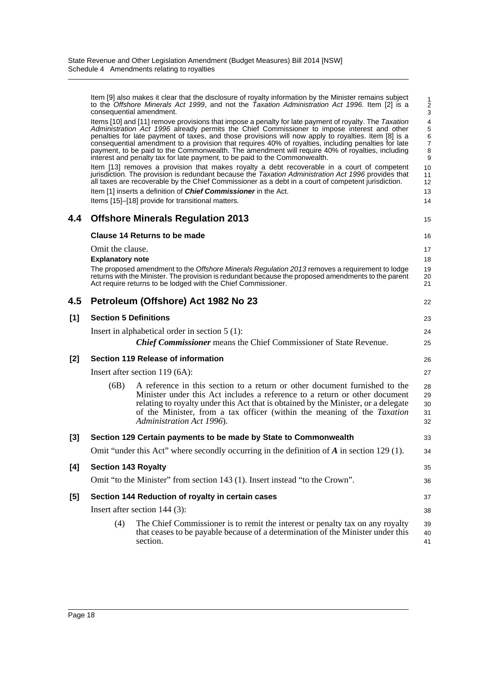|       |                                             | Item [9] also makes it clear that the disclosure of royalty information by the Minister remains subject<br>to the Offshore Minerals Act 1999, and not the Taxation Administration Act 1996. Item [2] is a<br>consequential amendment.                                                                                                                                                                                                                                                                                                                                                                | 1<br>$\overline{\mathbf{c}}$<br>3                    |
|-------|---------------------------------------------|------------------------------------------------------------------------------------------------------------------------------------------------------------------------------------------------------------------------------------------------------------------------------------------------------------------------------------------------------------------------------------------------------------------------------------------------------------------------------------------------------------------------------------------------------------------------------------------------------|------------------------------------------------------|
|       |                                             | Items [10] and [11] remove provisions that impose a penalty for late payment of royalty. The Taxation<br>Administration Act 1996 already permits the Chief Commissioner to impose interest and other<br>penalties for late payment of taxes, and those provisions will now apply to royalties. Item [8] is a<br>consequential amendment to a provision that requires 40% of royalties, including penalties for late<br>payment, to be paid to the Commonwealth. The amendment will require 40% of royalties, including<br>interest and penalty tax for late payment, to be paid to the Commonwealth. | $\overline{4}$<br>5<br>6<br>$\overline{7}$<br>8<br>9 |
|       |                                             | Item [13] removes a provision that makes royalty a debt recoverable in a court of competent<br>jurisdiction. The provision is redundant because the Taxation Administration Act 1996 provides that<br>all taxes are recoverable by the Chief Commissioner as a debt in a court of competent jurisdiction.                                                                                                                                                                                                                                                                                            | 10<br>11<br>12                                       |
|       |                                             | Item [1] inserts a definition of Chief Commissioner in the Act.<br>Items [15]-[18] provide for transitional matters.                                                                                                                                                                                                                                                                                                                                                                                                                                                                                 | 13<br>14                                             |
| 4.4   |                                             | <b>Offshore Minerals Regulation 2013</b>                                                                                                                                                                                                                                                                                                                                                                                                                                                                                                                                                             | 15                                                   |
|       |                                             | Clause 14 Returns to be made                                                                                                                                                                                                                                                                                                                                                                                                                                                                                                                                                                         | 16                                                   |
|       | Omit the clause.<br><b>Explanatory note</b> |                                                                                                                                                                                                                                                                                                                                                                                                                                                                                                                                                                                                      | 17<br>18                                             |
|       |                                             | The proposed amendment to the Offshore Minerals Regulation 2013 removes a requirement to lodge<br>returns with the Minister. The provision is redundant because the proposed amendments to the parent<br>Act require returns to be lodged with the Chief Commissioner.                                                                                                                                                                                                                                                                                                                               | 19<br>20<br>21                                       |
| 4.5   |                                             | Petroleum (Offshore) Act 1982 No 23                                                                                                                                                                                                                                                                                                                                                                                                                                                                                                                                                                  | 22                                                   |
| [1]   | <b>Section 5 Definitions</b>                |                                                                                                                                                                                                                                                                                                                                                                                                                                                                                                                                                                                                      | 23                                                   |
|       |                                             | Insert in alphabetical order in section $5(1)$ :                                                                                                                                                                                                                                                                                                                                                                                                                                                                                                                                                     | 24                                                   |
|       |                                             | <b>Chief Commissioner</b> means the Chief Commissioner of State Revenue.                                                                                                                                                                                                                                                                                                                                                                                                                                                                                                                             | 25                                                   |
| [2]   |                                             | Section 119 Release of information                                                                                                                                                                                                                                                                                                                                                                                                                                                                                                                                                                   | 26                                                   |
|       |                                             | Insert after section 119 (6A):                                                                                                                                                                                                                                                                                                                                                                                                                                                                                                                                                                       | 27                                                   |
|       | (6B)                                        | A reference in this section to a return or other document furnished to the<br>Minister under this Act includes a reference to a return or other document<br>relating to royalty under this Act that is obtained by the Minister, or a delegate<br>of the Minister, from a tax officer (within the meaning of the Taxation<br>Administration Act 1996).                                                                                                                                                                                                                                               | 28<br>29<br>30<br>31<br>32                           |
| $[3]$ |                                             | Section 129 Certain payments to be made by State to Commonwealth                                                                                                                                                                                                                                                                                                                                                                                                                                                                                                                                     | 33                                                   |
|       |                                             | Omit "under this Act" where secondly occurring in the definition of $\vec{A}$ in section 129 (1).                                                                                                                                                                                                                                                                                                                                                                                                                                                                                                    | 34                                                   |
| [4]   | <b>Section 143 Royalty</b>                  |                                                                                                                                                                                                                                                                                                                                                                                                                                                                                                                                                                                                      | 35                                                   |
|       |                                             | Omit "to the Minister" from section 143 (1). Insert instead "to the Crown".                                                                                                                                                                                                                                                                                                                                                                                                                                                                                                                          | 36                                                   |
| [5]   |                                             | Section 144 Reduction of royalty in certain cases                                                                                                                                                                                                                                                                                                                                                                                                                                                                                                                                                    | 37                                                   |
|       |                                             | Insert after section $144$ (3):                                                                                                                                                                                                                                                                                                                                                                                                                                                                                                                                                                      | 38                                                   |
|       |                                             | The Chief Commissioner is to remit the interest or penalty tax on any royalty                                                                                                                                                                                                                                                                                                                                                                                                                                                                                                                        | 39                                                   |
|       | (4)                                         | that ceases to be payable because of a determination of the Minister under this                                                                                                                                                                                                                                                                                                                                                                                                                                                                                                                      |                                                      |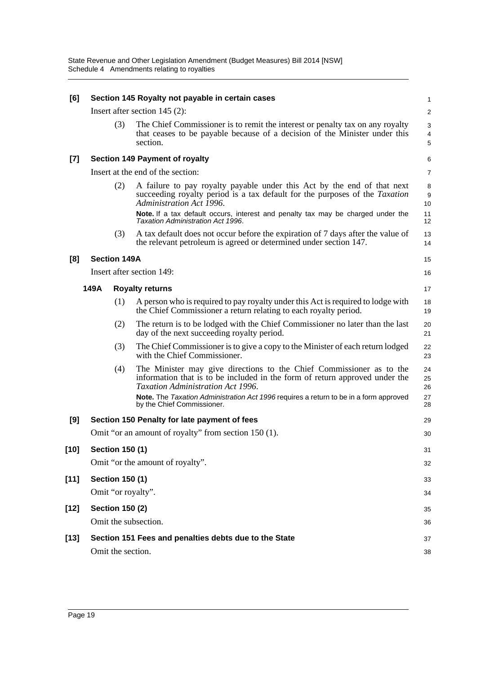| [6]    |      |                        | Section 145 Royalty not payable in certain cases                                                                                                                                                                                                                                                                   | 1                        |
|--------|------|------------------------|--------------------------------------------------------------------------------------------------------------------------------------------------------------------------------------------------------------------------------------------------------------------------------------------------------------------|--------------------------|
|        |      |                        | Insert after section 145 (2):                                                                                                                                                                                                                                                                                      | $\overline{a}$           |
|        |      | (3)                    | The Chief Commissioner is to remit the interest or penalty tax on any royalty<br>that ceases to be payable because of a decision of the Minister under this<br>section.                                                                                                                                            | 3<br>4<br>5              |
| $[7]$  |      |                        | <b>Section 149 Payment of royalty</b>                                                                                                                                                                                                                                                                              | 6                        |
|        |      |                        | Insert at the end of the section:                                                                                                                                                                                                                                                                                  | 7                        |
|        |      | (2)                    | A failure to pay royalty payable under this Act by the end of that next<br>succeeding royalty period is a tax default for the purposes of the Taxation<br>Administration Act 1996.<br>Note. If a tax default occurs, interest and penalty tax may be charged under the<br><b>Taxation Administration Act 1996.</b> | 8<br>9<br>10<br>11<br>12 |
|        |      | (3)                    | A tax default does not occur before the expiration of 7 days after the value of<br>the relevant petroleum is agreed or determined under section 147.                                                                                                                                                               | 13<br>14                 |
| [8]    |      | <b>Section 149A</b>    |                                                                                                                                                                                                                                                                                                                    | 15                       |
|        |      |                        | Insert after section 149:                                                                                                                                                                                                                                                                                          | 16                       |
|        | 149A |                        | <b>Royalty returns</b>                                                                                                                                                                                                                                                                                             | 17                       |
|        |      | (1)                    | A person who is required to pay royalty under this Act is required to lodge with<br>the Chief Commissioner a return relating to each royalty period.                                                                                                                                                               | 18<br>19                 |
|        |      | (2)                    | The return is to be lodged with the Chief Commissioner no later than the last<br>day of the next succeeding royalty period.                                                                                                                                                                                        | 20<br>21                 |
|        |      | (3)                    | The Chief Commissioner is to give a copy to the Minister of each return lodged<br>with the Chief Commissioner.                                                                                                                                                                                                     | 22<br>23                 |
|        |      | (4)                    | The Minister may give directions to the Chief Commissioner as to the<br>information that is to be included in the form of return approved under the<br>Taxation Administration Act 1996.                                                                                                                           | 24<br>25<br>26           |
|        |      |                        | Note. The Taxation Administration Act 1996 requires a return to be in a form approved<br>by the Chief Commissioner.                                                                                                                                                                                                | 27<br>28                 |
| [9]    |      |                        | Section 150 Penalty for late payment of fees                                                                                                                                                                                                                                                                       | 29                       |
|        |      |                        | Omit "or an amount of royalty" from section 150 (1).                                                                                                                                                                                                                                                               | 30                       |
| $[10]$ |      | <b>Section 150 (1)</b> |                                                                                                                                                                                                                                                                                                                    | 31                       |
|        |      |                        | Omit "or the amount of royalty".                                                                                                                                                                                                                                                                                   | 32                       |
| $[11]$ |      | <b>Section 150 (1)</b> |                                                                                                                                                                                                                                                                                                                    | 33                       |
|        |      |                        | Omit "or royalty".                                                                                                                                                                                                                                                                                                 | 34                       |
| $[12]$ |      | <b>Section 150 (2)</b> |                                                                                                                                                                                                                                                                                                                    | 35                       |
|        |      |                        | Omit the subsection.                                                                                                                                                                                                                                                                                               | 36                       |
| $[13]$ |      |                        | Section 151 Fees and penalties debts due to the State                                                                                                                                                                                                                                                              | 37                       |
|        |      | Omit the section.      |                                                                                                                                                                                                                                                                                                                    | 38                       |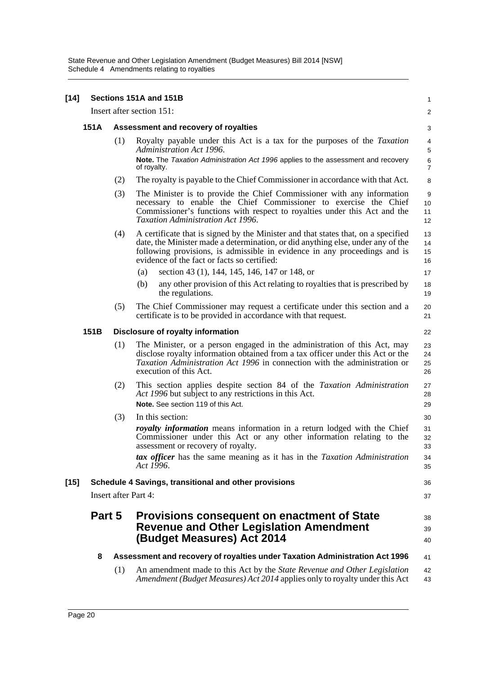| $[14]$ | Sections 151A and 151B                                |     |                                                                                                                                                                                                                                                                                                  |                      |  |  |  |  |
|--------|-------------------------------------------------------|-----|--------------------------------------------------------------------------------------------------------------------------------------------------------------------------------------------------------------------------------------------------------------------------------------------------|----------------------|--|--|--|--|
|        |                                                       |     | Insert after section 151:                                                                                                                                                                                                                                                                        | 2                    |  |  |  |  |
|        | 151A                                                  |     | Assessment and recovery of royalties                                                                                                                                                                                                                                                             |                      |  |  |  |  |
|        |                                                       | (1) | Royalty payable under this Act is a tax for the purposes of the <i>Taxation</i><br>Administration Act 1996.<br>Note. The Taxation Administration Act 1996 applies to the assessment and recovery                                                                                                 | 4<br>5<br>$\,6\,$    |  |  |  |  |
|        |                                                       |     | of royalty.                                                                                                                                                                                                                                                                                      | $\overline{7}$       |  |  |  |  |
|        |                                                       | (2) | The royalty is payable to the Chief Commissioner in accordance with that Act.                                                                                                                                                                                                                    | 8                    |  |  |  |  |
|        |                                                       | (3) | The Minister is to provide the Chief Commissioner with any information<br>necessary to enable the Chief Commissioner to exercise the Chief<br>Commissioner's functions with respect to royalties under this Act and the<br>Taxation Administration Act 1996.                                     | 9<br>10<br>11<br>12  |  |  |  |  |
|        |                                                       | (4) | A certificate that is signed by the Minister and that states that, on a specified<br>date, the Minister made a determination, or did anything else, under any of the<br>following provisions, is admissible in evidence in any proceedings and is<br>evidence of the fact or facts so certified: | 13<br>14<br>15<br>16 |  |  |  |  |
|        |                                                       |     | (a)<br>section 43 (1), 144, 145, 146, 147 or 148, or                                                                                                                                                                                                                                             | 17                   |  |  |  |  |
|        |                                                       |     | (b)<br>any other provision of this Act relating to royalties that is prescribed by<br>the regulations.                                                                                                                                                                                           | 18<br>19             |  |  |  |  |
|        |                                                       | (5) | The Chief Commissioner may request a certificate under this section and a<br>certificate is to be provided in accordance with that request.                                                                                                                                                      | 20<br>21             |  |  |  |  |
|        | 151B                                                  |     | Disclosure of royalty information                                                                                                                                                                                                                                                                | 22                   |  |  |  |  |
|        |                                                       | (1) | The Minister, or a person engaged in the administration of this Act, may<br>disclose royalty information obtained from a tax officer under this Act or the<br>Taxation Administration Act 1996 in connection with the administration or<br>execution of this Act.                                | 23<br>24<br>25<br>26 |  |  |  |  |
|        |                                                       | (2) | This section applies despite section 84 of the Taxation Administration<br>Act 1996 but subject to any restrictions in this Act.<br>Note. See section 119 of this Act.                                                                                                                            | 27<br>28<br>29       |  |  |  |  |
|        |                                                       | (3) | In this section:                                                                                                                                                                                                                                                                                 | 30                   |  |  |  |  |
|        |                                                       |     | <i>royalty information</i> means information in a return lodged with the Chief<br>Commissioner under this Act or any other information relating to the<br>assessment or recovery of royalty.                                                                                                     | 31<br>32<br>33       |  |  |  |  |
|        |                                                       |     | tax officer has the same meaning as it has in the Taxation Administration<br>Act 1996.                                                                                                                                                                                                           | 34<br>35             |  |  |  |  |
| $[15]$ | Schedule 4 Savings, transitional and other provisions |     |                                                                                                                                                                                                                                                                                                  |                      |  |  |  |  |
|        |                                                       |     | <b>Insert after Part 4:</b>                                                                                                                                                                                                                                                                      | 37                   |  |  |  |  |
|        | Part 5                                                |     | <b>Provisions consequent on enactment of State</b><br><b>Revenue and Other Legislation Amendment</b><br>(Budget Measures) Act 2014                                                                                                                                                               | 38<br>39<br>40       |  |  |  |  |
|        | 8                                                     |     | Assessment and recovery of royalties under Taxation Administration Act 1996                                                                                                                                                                                                                      | 41                   |  |  |  |  |
|        |                                                       | (1) | An amendment made to this Act by the State Revenue and Other Legislation<br>Amendment (Budget Measures) Act 2014 applies only to royalty under this Act                                                                                                                                          | 42<br>43             |  |  |  |  |
|        |                                                       |     |                                                                                                                                                                                                                                                                                                  |                      |  |  |  |  |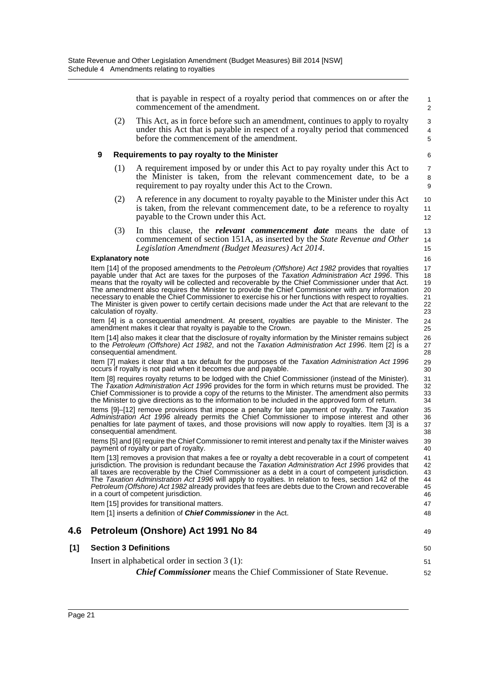that is payable in respect of a royalty period that commences on or after the commencement of the amendment.

49

50 51 52

(2) This Act, as in force before such an amendment, continues to apply to royalty under this Act that is payable in respect of a royalty period that commenced before the commencement of the amendment.

### **9 Requirements to pay royalty to the Minister**

- (1) A requirement imposed by or under this Act to pay royalty under this Act to the Minister is taken, from the relevant commencement date, to be a requirement to pay royalty under this Act to the Crown.
- (2) A reference in any document to royalty payable to the Minister under this Act is taken, from the relevant commencement date, to be a reference to royalty payable to the Crown under this Act.
- (3) In this clause, the *relevant commencement date* means the date of commencement of section 151A, as inserted by the *State Revenue and Other Legislation Amendment (Budget Measures) Act 2014*.

### **Explanatory note**

Item [14] of the proposed amendments to the *Petroleum (Offshore) Act 1982* provides that royalties payable under that Act are taxes for the purposes of the *Taxation Administration Act 1996*. This means that the royalty will be collected and recoverable by the Chief Commissioner under that Act. The amendment also requires the Minister to provide the Chief Commissioner with any information necessary to enable the Chief Commissioner to exercise his or her functions with respect to royalties. The Minister is given power to certify certain decisions made under the Act that are relevant to the calculation of royalty.

Item [4] is a consequential amendment. At present, royalties are payable to the Minister. The amendment makes it clear that royalty is payable to the Crown.

Item [14] also makes it clear that the disclosure of royalty information by the Minister remains subject to the *Petroleum (Offshore) Act 1982*, and not the *Taxation Administration Act 1996*. Item [2] is a consequential amendment.

Item [7] makes it clear that a tax default for the purposes of the *Taxation Administration Act 1996* occurs if royalty is not paid when it becomes due and payable.

Item [8] requires royalty returns to be lodged with the Chief Commissioner (instead of the Minister). The *Taxation Administration Act 1996* provides for the form in which returns must be provided. The Chief Commissioner is to provide a copy of the returns to the Minister. The amendment also permits the Minister to give directions as to the information to be included in the approved form of return.

Items [9]–[12] remove provisions that impose a penalty for late payment of royalty. The *Taxation Administration Act 1996* already permits the Chief Commissioner to impose interest and other penalties for late payment of taxes, and those provisions will now apply to royalties. Item [3] is a consequential amendment.

Items [5] and [6] require the Chief Commissioner to remit interest and penalty tax if the Minister waives payment of royalty or part of royalty.

Item [13] removes a provision that makes a fee or royalty a debt recoverable in a court of competent jurisdiction. The provision is redundant because the *Taxation Administration Act 1996* provides that all taxes are recoverable by the Chief Commissioner as a debt in a court of competent jurisdiction. The *Taxation Administration Act 1996* will apply to royalties. In relation to fees, section 142 of the *Petroleum (Offshore) Act 1982* already provides that fees are debts due to the Crown and recoverable in a court of competent jurisdiction.

Item [15] provides for transitional matters.

Item [1] inserts a definition of *Chief Commissioner* in the Act.

## **4.6 Petroleum (Onshore) Act 1991 No 84**

## **[1] Section 3 Definitions**

Insert in alphabetical order in section 3 (1):

*Chief Commissioner* means the Chief Commissioner of State Revenue.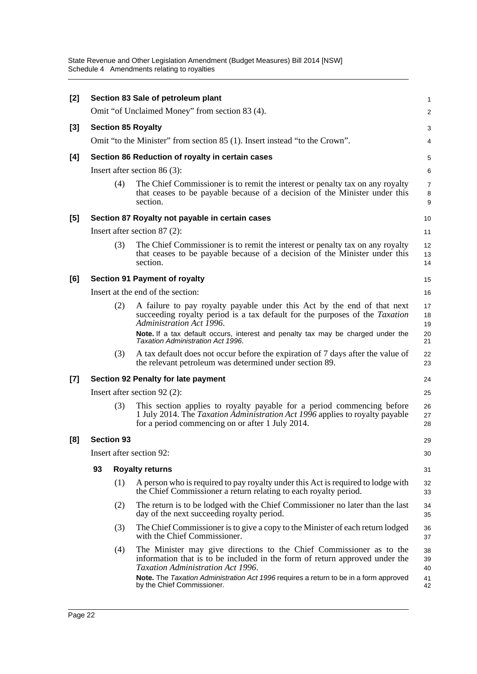| [2]   |                                                  |                           | Section 83 Sale of petroleum plant                                                                                                                                                                                                                                                                                        | 1                          |  |  |  |  |
|-------|--------------------------------------------------|---------------------------|---------------------------------------------------------------------------------------------------------------------------------------------------------------------------------------------------------------------------------------------------------------------------------------------------------------------------|----------------------------|--|--|--|--|
|       |                                                  |                           | Omit "of Unclaimed Money" from section 83 (4).                                                                                                                                                                                                                                                                            | 2                          |  |  |  |  |
| [3]   |                                                  | <b>Section 85 Royalty</b> |                                                                                                                                                                                                                                                                                                                           |                            |  |  |  |  |
|       |                                                  |                           | Omit "to the Minister" from section 85 (1). Insert instead "to the Crown".                                                                                                                                                                                                                                                | 4                          |  |  |  |  |
| [4]   | Section 86 Reduction of royalty in certain cases |                           |                                                                                                                                                                                                                                                                                                                           |                            |  |  |  |  |
|       |                                                  |                           | Insert after section $86(3)$ :                                                                                                                                                                                                                                                                                            | 6                          |  |  |  |  |
|       |                                                  | (4)                       | The Chief Commissioner is to remit the interest or penalty tax on any royalty<br>that ceases to be payable because of a decision of the Minister under this<br>section.                                                                                                                                                   | $\overline{7}$<br>8<br>9   |  |  |  |  |
| [5]   |                                                  |                           | Section 87 Royalty not payable in certain cases                                                                                                                                                                                                                                                                           | 10                         |  |  |  |  |
|       |                                                  |                           | Insert after section $87(2)$ :                                                                                                                                                                                                                                                                                            | 11                         |  |  |  |  |
|       |                                                  | (3)                       | The Chief Commissioner is to remit the interest or penalty tax on any royalty<br>that ceases to be payable because of a decision of the Minister under this<br>section.                                                                                                                                                   | 12<br>13<br>14             |  |  |  |  |
| [6]   |                                                  |                           | <b>Section 91 Payment of royalty</b>                                                                                                                                                                                                                                                                                      | 15                         |  |  |  |  |
|       | Insert at the end of the section:                |                           |                                                                                                                                                                                                                                                                                                                           |                            |  |  |  |  |
|       |                                                  | (2)                       | A failure to pay royalty payable under this Act by the end of that next<br>succeeding royalty period is a tax default for the purposes of the <i>Taxation</i><br>Administration Act 1996.<br>Note. If a tax default occurs, interest and penalty tax may be charged under the<br><b>Taxation Administration Act 1996.</b> | 17<br>18<br>19<br>20<br>21 |  |  |  |  |
|       |                                                  | (3)                       | A tax default does not occur before the expiration of 7 days after the value of<br>the relevant petroleum was determined under section 89.                                                                                                                                                                                | 22<br>23                   |  |  |  |  |
| $[7]$ | Section 92 Penalty for late payment              |                           |                                                                                                                                                                                                                                                                                                                           |                            |  |  |  |  |
|       |                                                  |                           | Insert after section $92$ (2):                                                                                                                                                                                                                                                                                            | 25                         |  |  |  |  |
|       |                                                  | (3)                       | This section applies to royalty payable for a period commencing before<br>1 July 2014. The Taxation Administration Act 1996 applies to royalty payable<br>for a period commencing on or after 1 July 2014.                                                                                                                | 26<br>27<br>28             |  |  |  |  |
| [8]   |                                                  | <b>Section 93</b>         |                                                                                                                                                                                                                                                                                                                           | 29                         |  |  |  |  |
|       |                                                  |                           | Insert after section 92:                                                                                                                                                                                                                                                                                                  | 30                         |  |  |  |  |
|       | 93                                               |                           | <b>Royalty returns</b>                                                                                                                                                                                                                                                                                                    | 31                         |  |  |  |  |
|       |                                                  | (1)                       | A person who is required to pay royalty under this Act is required to lodge with<br>the Chief Commissioner a return relating to each royalty period.                                                                                                                                                                      | 32<br>33                   |  |  |  |  |
|       |                                                  | (2)                       | The return is to be lodged with the Chief Commissioner no later than the last<br>day of the next succeeding royalty period.                                                                                                                                                                                               | 34<br>35                   |  |  |  |  |
|       |                                                  | (3)                       | The Chief Commissioner is to give a copy to the Minister of each return lodged<br>with the Chief Commissioner.                                                                                                                                                                                                            | 36<br>37                   |  |  |  |  |
|       |                                                  | (4)                       | The Minister may give directions to the Chief Commissioner as to the<br>information that is to be included in the form of return approved under the<br>Taxation Administration Act 1996.<br>Note. The Taxation Administration Act 1996 requires a return to be in a form approved<br>by the Chief Commissioner.           | 38<br>39<br>40<br>41<br>42 |  |  |  |  |
|       |                                                  |                           |                                                                                                                                                                                                                                                                                                                           |                            |  |  |  |  |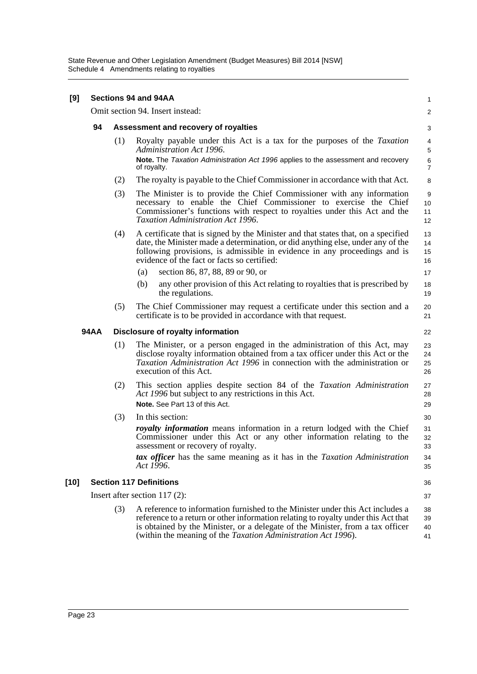| [9]  | <b>Sections 94 and 94AA</b> |     |                                                                                                                                                                                                                                                                                                                                 |                         |
|------|-----------------------------|-----|---------------------------------------------------------------------------------------------------------------------------------------------------------------------------------------------------------------------------------------------------------------------------------------------------------------------------------|-------------------------|
|      |                             |     | Omit section 94. Insert instead:                                                                                                                                                                                                                                                                                                | $\overline{c}$          |
|      | 94                          |     | Assessment and recovery of royalties                                                                                                                                                                                                                                                                                            | 3                       |
|      |                             | (1) | Royalty payable under this Act is a tax for the purposes of the Taxation<br>Administration Act 1996.                                                                                                                                                                                                                            | 4<br>$\mathbf 5$        |
|      |                             |     | Note. The Taxation Administration Act 1996 applies to the assessment and recovery<br>of royalty.                                                                                                                                                                                                                                | $\,6$<br>$\overline{7}$ |
|      |                             | (2) | The royalty is payable to the Chief Commissioner in accordance with that Act.                                                                                                                                                                                                                                                   | 8                       |
|      |                             | (3) | The Minister is to provide the Chief Commissioner with any information<br>necessary to enable the Chief Commissioner to exercise the Chief<br>Commissioner's functions with respect to royalties under this Act and the<br><b>Taxation Administration Act 1996.</b>                                                             | 9<br>10<br>11<br>12     |
|      |                             | (4) | A certificate that is signed by the Minister and that states that, on a specified<br>date, the Minister made a determination, or did anything else, under any of the<br>following provisions, is admissible in evidence in any proceedings and is<br>evidence of the fact or facts so certified:                                | 13<br>14<br>15<br>16    |
|      |                             |     | section 86, 87, 88, 89 or 90, or<br>(a)                                                                                                                                                                                                                                                                                         | 17                      |
|      |                             |     | any other provision of this Act relating to royalties that is prescribed by<br>(b)<br>the regulations.                                                                                                                                                                                                                          | 18<br>19                |
|      |                             | (5) | The Chief Commissioner may request a certificate under this section and a<br>certificate is to be provided in accordance with that request.                                                                                                                                                                                     | 20<br>21                |
|      | <b>94AA</b>                 |     | Disclosure of royalty information                                                                                                                                                                                                                                                                                               | 22                      |
|      |                             | (1) | The Minister, or a person engaged in the administration of this Act, may<br>disclose royalty information obtained from a tax officer under this Act or the<br><i>Taxation Administration Act 1996</i> in connection with the administration or<br>execution of this Act.                                                        | 23<br>24<br>25<br>26    |
|      |                             | (2) | This section applies despite section 84 of the Taxation Administration<br>Act 1996 but subject to any restrictions in this Act.<br>Note. See Part 13 of this Act.                                                                                                                                                               | 27<br>28<br>29          |
|      |                             | (3) | In this section:                                                                                                                                                                                                                                                                                                                | 30                      |
|      |                             |     | <i>royalty information</i> means information in a return lodged with the Chief<br>Commissioner under this Act or any other information relating to the<br>assessment or recovery of royalty.                                                                                                                                    | 31<br>32<br>33          |
|      |                             |     | tax officer has the same meaning as it has in the Taxation Administration<br>Act 1996.                                                                                                                                                                                                                                          | 34<br>35                |
| [10] |                             |     | <b>Section 117 Definitions</b>                                                                                                                                                                                                                                                                                                  | 36                      |
|      |                             |     | Insert after section $117(2)$ :                                                                                                                                                                                                                                                                                                 | 37                      |
|      |                             | (3) | A reference to information furnished to the Minister under this Act includes a<br>reference to a return or other information relating to royalty under this Act that<br>is obtained by the Minister, or a delegate of the Minister, from a tax officer<br>(within the meaning of the <i>Taxation Administration Act 1996</i> ). | 38<br>39<br>40<br>41    |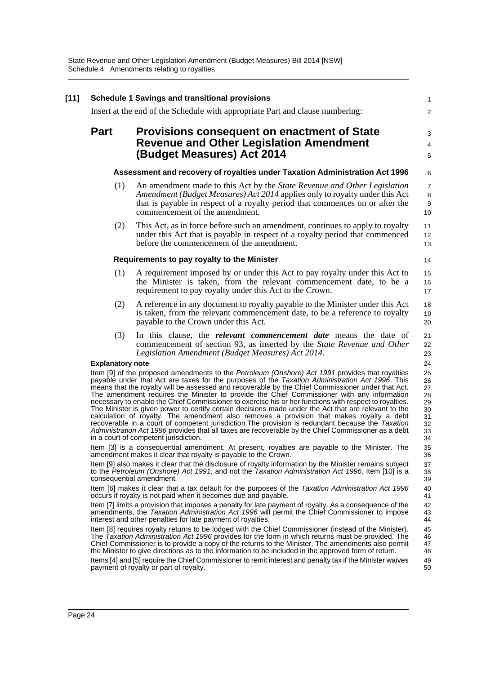|                                                                                                                                                                                                                                          | <b>Schedule 1 Savings and transitional provisions</b>                                                                                                                                                                                                                                                                                                                                                                                                                                                                                                                                                                                                                                                                                                                                                                                                                                                                                                                    |  |  |  |  |  |
|------------------------------------------------------------------------------------------------------------------------------------------------------------------------------------------------------------------------------------------|--------------------------------------------------------------------------------------------------------------------------------------------------------------------------------------------------------------------------------------------------------------------------------------------------------------------------------------------------------------------------------------------------------------------------------------------------------------------------------------------------------------------------------------------------------------------------------------------------------------------------------------------------------------------------------------------------------------------------------------------------------------------------------------------------------------------------------------------------------------------------------------------------------------------------------------------------------------------------|--|--|--|--|--|
|                                                                                                                                                                                                                                          | Insert at the end of the Schedule with appropriate Part and clause numbering:                                                                                                                                                                                                                                                                                                                                                                                                                                                                                                                                                                                                                                                                                                                                                                                                                                                                                            |  |  |  |  |  |
| <b>Part</b>                                                                                                                                                                                                                              | <b>Provisions consequent on enactment of State</b><br><b>Revenue and Other Legislation Amendment</b><br>(Budget Measures) Act 2014                                                                                                                                                                                                                                                                                                                                                                                                                                                                                                                                                                                                                                                                                                                                                                                                                                       |  |  |  |  |  |
|                                                                                                                                                                                                                                          |                                                                                                                                                                                                                                                                                                                                                                                                                                                                                                                                                                                                                                                                                                                                                                                                                                                                                                                                                                          |  |  |  |  |  |
|                                                                                                                                                                                                                                          | Assessment and recovery of royalties under Taxation Administration Act 1996                                                                                                                                                                                                                                                                                                                                                                                                                                                                                                                                                                                                                                                                                                                                                                                                                                                                                              |  |  |  |  |  |
|                                                                                                                                                                                                                                          | (1)<br>An amendment made to this Act by the <i>State Revenue and Other Legislation</i><br>Amendment (Budget Measures) Act 2014 applies only to royalty under this Act<br>that is payable in respect of a royalty period that commences on or after the<br>commencement of the amendment.                                                                                                                                                                                                                                                                                                                                                                                                                                                                                                                                                                                                                                                                                 |  |  |  |  |  |
|                                                                                                                                                                                                                                          | This Act, as in force before such an amendment, continues to apply to royalty<br>(2)<br>under this Act that is payable in respect of a royalty period that commenced<br>before the commencement of the amendment.                                                                                                                                                                                                                                                                                                                                                                                                                                                                                                                                                                                                                                                                                                                                                        |  |  |  |  |  |
|                                                                                                                                                                                                                                          | Requirements to pay royalty to the Minister                                                                                                                                                                                                                                                                                                                                                                                                                                                                                                                                                                                                                                                                                                                                                                                                                                                                                                                              |  |  |  |  |  |
|                                                                                                                                                                                                                                          | (1)<br>A requirement imposed by or under this Act to pay royalty under this Act to<br>the Minister is taken, from the relevant commencement date, to be a<br>requirement to pay royalty under this Act to the Crown.                                                                                                                                                                                                                                                                                                                                                                                                                                                                                                                                                                                                                                                                                                                                                     |  |  |  |  |  |
|                                                                                                                                                                                                                                          | (2)<br>A reference in any document to royalty payable to the Minister under this Act<br>is taken, from the relevant commencement date, to be a reference to royalty<br>payable to the Crown under this Act.                                                                                                                                                                                                                                                                                                                                                                                                                                                                                                                                                                                                                                                                                                                                                              |  |  |  |  |  |
|                                                                                                                                                                                                                                          | (3)<br>In this clause, the <i>relevant commencement date</i> means the date of<br>commencement of section 93, as inserted by the State Revenue and Other<br>Legislation Amendment (Budget Measures) Act 2014.                                                                                                                                                                                                                                                                                                                                                                                                                                                                                                                                                                                                                                                                                                                                                            |  |  |  |  |  |
|                                                                                                                                                                                                                                          | <b>Explanatory note</b>                                                                                                                                                                                                                                                                                                                                                                                                                                                                                                                                                                                                                                                                                                                                                                                                                                                                                                                                                  |  |  |  |  |  |
|                                                                                                                                                                                                                                          | Item [9] of the proposed amendments to the Petroleum (Onshore) Act 1991 provides that royalties<br>payable under that Act are taxes for the purposes of the Taxation Administration Act 1996. This<br>means that the royalty will be assessed and recoverable by the Chief Commissioner under that Act.<br>The amendment requires the Minister to provide the Chief Commissioner with any information<br>necessary to enable the Chief Commissioner to exercise his or her functions with respect to royalties.<br>The Minister is given power to certify certain decisions made under the Act that are relevant to the<br>calculation of royalty. The amendment also removes a provision that makes royalty a debt<br>recoverable in a court of competent jurisdiction. The provision is redundant because the Taxation<br>Administration Act 1996 provides that all taxes are recoverable by the Chief Commissioner as a debt<br>in a court of competent jurisdiction. |  |  |  |  |  |
| Item [3] is a consequential amendment. At present, royalties are payable to the Minister. The<br>amendment makes it clear that royalty is payable to the Crown.                                                                          |                                                                                                                                                                                                                                                                                                                                                                                                                                                                                                                                                                                                                                                                                                                                                                                                                                                                                                                                                                          |  |  |  |  |  |
| Item [9] also makes it clear that the disclosure of royalty information by the Minister remains subject<br>to the Petroleum (Onshore) Act 1991, and not the Taxation Administration Act 1996. Item [10] is a<br>consequential amendment. |                                                                                                                                                                                                                                                                                                                                                                                                                                                                                                                                                                                                                                                                                                                                                                                                                                                                                                                                                                          |  |  |  |  |  |
| Item [6] makes it clear that a tax default for the purposes of the Taxation Administration Act 1996<br>occurs if royalty is not paid when it becomes due and payable.                                                                    |                                                                                                                                                                                                                                                                                                                                                                                                                                                                                                                                                                                                                                                                                                                                                                                                                                                                                                                                                                          |  |  |  |  |  |
|                                                                                                                                                                                                                                          |                                                                                                                                                                                                                                                                                                                                                                                                                                                                                                                                                                                                                                                                                                                                                                                                                                                                                                                                                                          |  |  |  |  |  |
|                                                                                                                                                                                                                                          | Item [7] limits a provision that imposes a penalty for late payment of royalty. As a consequence of the<br>amendments, the Taxation Administration Act 1996 will permit the Chief Commissioner to impose<br>interest and other penalties for late payment of royalties.                                                                                                                                                                                                                                                                                                                                                                                                                                                                                                                                                                                                                                                                                                  |  |  |  |  |  |
|                                                                                                                                                                                                                                          | Item [8] requires royalty returns to be lodged with the Chief Commissioner (instead of the Minister).<br>The Taxation Administration Act 1996 provides for the form in which returns must be provided. The<br>Chief Commissioner is to provide a copy of the returns to the Minister. The amendments also permit<br>the Minister to give directions as to the information to be included in the approved form of return.                                                                                                                                                                                                                                                                                                                                                                                                                                                                                                                                                 |  |  |  |  |  |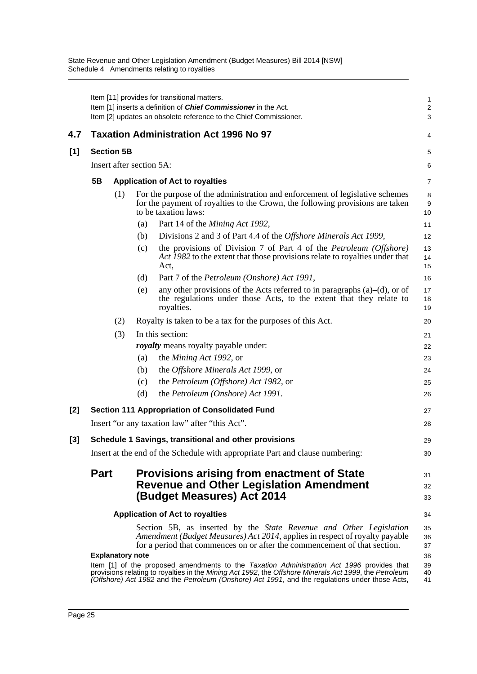|     |                                                                                                                                                                                                                                                                                                                    |                         |                          | Item [11] provides for transitional matters.<br>Item [1] inserts a definition of <b>Chief Commissioner</b> in the Act.<br>Item [2] updates an obsolete reference to the Chief Commissioner.                                           | $\mathbf{1}$<br>$\overline{2}$<br>3 |  |  |  |
|-----|--------------------------------------------------------------------------------------------------------------------------------------------------------------------------------------------------------------------------------------------------------------------------------------------------------------------|-------------------------|--------------------------|---------------------------------------------------------------------------------------------------------------------------------------------------------------------------------------------------------------------------------------|-------------------------------------|--|--|--|
| 4.7 |                                                                                                                                                                                                                                                                                                                    |                         |                          | <b>Taxation Administration Act 1996 No 97</b>                                                                                                                                                                                         | 4                                   |  |  |  |
| [1] | <b>Section 5B</b>                                                                                                                                                                                                                                                                                                  |                         |                          |                                                                                                                                                                                                                                       |                                     |  |  |  |
|     |                                                                                                                                                                                                                                                                                                                    |                         | Insert after section 5A: |                                                                                                                                                                                                                                       | 6                                   |  |  |  |
|     | 5B                                                                                                                                                                                                                                                                                                                 |                         |                          | <b>Application of Act to royalties</b>                                                                                                                                                                                                | 7                                   |  |  |  |
|     |                                                                                                                                                                                                                                                                                                                    | (1)                     |                          | For the purpose of the administration and enforcement of legislative schemes<br>for the payment of royalties to the Crown, the following provisions are taken<br>to be taxation laws:                                                 | 8<br>9<br>10                        |  |  |  |
|     |                                                                                                                                                                                                                                                                                                                    |                         | (a)                      | Part 14 of the <i>Mining Act 1992</i> ,                                                                                                                                                                                               | 11                                  |  |  |  |
|     |                                                                                                                                                                                                                                                                                                                    |                         | (b)                      | Divisions 2 and 3 of Part 4.4 of the <i>Offshore Minerals Act 1999</i> ,                                                                                                                                                              | 12                                  |  |  |  |
|     |                                                                                                                                                                                                                                                                                                                    |                         | (c)                      | the provisions of Division 7 of Part 4 of the <i>Petroleum</i> (Offshore)<br>Act 1982 to the extent that those provisions relate to royalties under that<br>Act,                                                                      | 13<br>14<br>15                      |  |  |  |
|     |                                                                                                                                                                                                                                                                                                                    |                         | (d)                      | Part 7 of the <i>Petroleum</i> ( <i>Onshore</i> ) Act 1991,                                                                                                                                                                           | 16                                  |  |  |  |
|     |                                                                                                                                                                                                                                                                                                                    |                         | (e)                      | any other provisions of the Acts referred to in paragraphs $(a)$ – $(d)$ , or of<br>the regulations under those Acts, to the extent that they relate to<br>royalties.                                                                 | 17<br>18<br>19                      |  |  |  |
|     |                                                                                                                                                                                                                                                                                                                    | (2)                     |                          | Royalty is taken to be a tax for the purposes of this Act.                                                                                                                                                                            | 20                                  |  |  |  |
|     |                                                                                                                                                                                                                                                                                                                    | (3)                     | In this section:         |                                                                                                                                                                                                                                       |                                     |  |  |  |
|     |                                                                                                                                                                                                                                                                                                                    |                         |                          | <i>royalty</i> means royalty payable under:                                                                                                                                                                                           | 22                                  |  |  |  |
|     |                                                                                                                                                                                                                                                                                                                    |                         | (a)                      | the <i>Mining Act 1992</i> , or                                                                                                                                                                                                       | 23                                  |  |  |  |
|     |                                                                                                                                                                                                                                                                                                                    |                         | (b)                      | the Offshore Minerals Act 1999, or                                                                                                                                                                                                    | 24                                  |  |  |  |
|     |                                                                                                                                                                                                                                                                                                                    |                         | (c)                      | the Petroleum (Offshore) Act 1982, or                                                                                                                                                                                                 | 25                                  |  |  |  |
|     |                                                                                                                                                                                                                                                                                                                    |                         | (d)                      | the Petroleum (Onshore) Act 1991.                                                                                                                                                                                                     | 26                                  |  |  |  |
| [2] |                                                                                                                                                                                                                                                                                                                    |                         |                          | <b>Section 111 Appropriation of Consolidated Fund</b>                                                                                                                                                                                 | 27                                  |  |  |  |
|     |                                                                                                                                                                                                                                                                                                                    |                         |                          | Insert "or any taxation law" after "this Act".                                                                                                                                                                                        | 28                                  |  |  |  |
| [3] |                                                                                                                                                                                                                                                                                                                    |                         |                          | Schedule 1 Savings, transitional and other provisions                                                                                                                                                                                 | 29                                  |  |  |  |
|     | Insert at the end of the Schedule with appropriate Part and clause numbering:                                                                                                                                                                                                                                      |                         |                          |                                                                                                                                                                                                                                       |                                     |  |  |  |
|     | <b>Part</b>                                                                                                                                                                                                                                                                                                        |                         |                          | <b>Provisions arising from enactment of State</b><br><b>Revenue and Other Legislation Amendment</b><br>(Budget Measures) Act 2014                                                                                                     | 31<br>32<br>33                      |  |  |  |
|     |                                                                                                                                                                                                                                                                                                                    |                         |                          | <b>Application of Act to royalties</b>                                                                                                                                                                                                | 34                                  |  |  |  |
|     |                                                                                                                                                                                                                                                                                                                    |                         |                          | Section 5B, as inserted by the <i>State Revenue and Other Legislation</i><br>Amendment (Budget Measures) Act 2014, applies in respect of royalty payable<br>for a period that commences on or after the commencement of that section. | 35<br>36<br>37                      |  |  |  |
|     |                                                                                                                                                                                                                                                                                                                    | <b>Explanatory note</b> |                          |                                                                                                                                                                                                                                       | 38<br>39                            |  |  |  |
|     | Item [1] of the proposed amendments to the Taxation Administration Act 1996 provides that<br>provisions relating to royalties in the Mining Act 1992, the Offshore Minerals Act 1999, the Petroleum<br>40<br>(Offshore) Act 1982 and the Petroleum (Onshore) Act 1991, and the regulations under those Acts,<br>41 |                         |                          |                                                                                                                                                                                                                                       |                                     |  |  |  |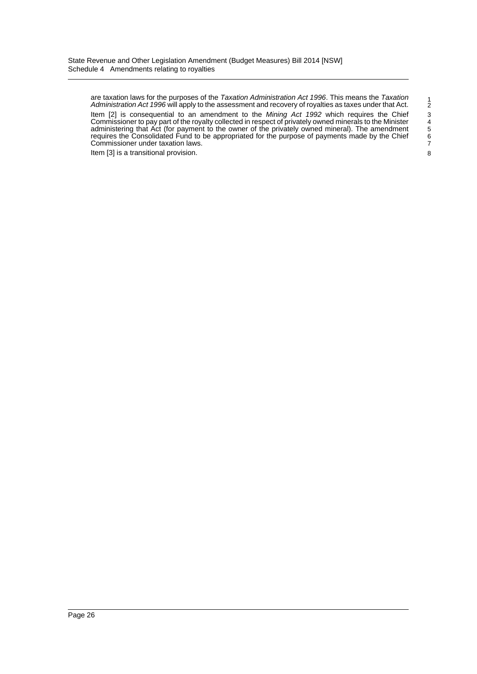are taxation laws for the purposes of the *Taxation Administration Act 1996*. This means the *Taxation Administration Act 1996* will apply to the assessment and recovery of royalties as taxes under that Act. Item [2] is consequential to an amendment to the *Mining Act 1992* which requires the Chief Commissioner to pay part of the royalty collected in respect of privately owned minerals to the Minister administering that Act (for payment to the owner of the privately owned mineral). The amendment requires the Consolidated Fund to be appropriated for the purpose of payments made by the Chief Commissioner under taxation laws.

Item [3] is a transitional provision.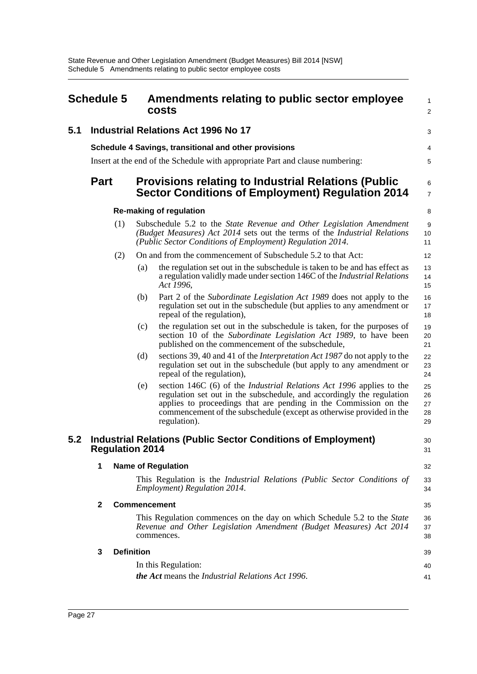<span id="page-29-0"></span>

| <b>Schedule 5</b> |                                                                                                |                                                                                                                                                                                                                       | Amendments relating to public sector employee<br>costs                                                                                                                                                                                                                                                           |                            |  |  |
|-------------------|------------------------------------------------------------------------------------------------|-----------------------------------------------------------------------------------------------------------------------------------------------------------------------------------------------------------------------|------------------------------------------------------------------------------------------------------------------------------------------------------------------------------------------------------------------------------------------------------------------------------------------------------------------|----------------------------|--|--|
| 5.1               | <b>Industrial Relations Act 1996 No 17</b>                                                     |                                                                                                                                                                                                                       |                                                                                                                                                                                                                                                                                                                  |                            |  |  |
|                   | Schedule 4 Savings, transitional and other provisions                                          |                                                                                                                                                                                                                       |                                                                                                                                                                                                                                                                                                                  |                            |  |  |
|                   | Insert at the end of the Schedule with appropriate Part and clause numbering:                  |                                                                                                                                                                                                                       |                                                                                                                                                                                                                                                                                                                  |                            |  |  |
|                   | <b>Part</b>                                                                                    |                                                                                                                                                                                                                       | <b>Provisions relating to Industrial Relations (Public</b><br><b>Sector Conditions of Employment) Regulation 2014</b>                                                                                                                                                                                            | 6<br>7                     |  |  |
|                   | <b>Re-making of regulation</b>                                                                 |                                                                                                                                                                                                                       |                                                                                                                                                                                                                                                                                                                  |                            |  |  |
|                   |                                                                                                | Subschedule 5.2 to the State Revenue and Other Legislation Amendment<br>(1)<br>(Budget Measures) Act 2014 sets out the terms of the Industrial Relations<br>(Public Sector Conditions of Employment) Regulation 2014. |                                                                                                                                                                                                                                                                                                                  | 9<br>10<br>11              |  |  |
|                   | (2)                                                                                            |                                                                                                                                                                                                                       | On and from the commencement of Subschedule 5.2 to that Act:                                                                                                                                                                                                                                                     | 12                         |  |  |
|                   |                                                                                                | (a)                                                                                                                                                                                                                   | the regulation set out in the subschedule is taken to be and has effect as<br>a regulation validly made under section 146C of the <i>Industrial Relations</i><br>Act 1996,                                                                                                                                       | 13<br>14<br>15             |  |  |
|                   |                                                                                                | (b)                                                                                                                                                                                                                   | Part 2 of the Subordinate Legislation Act 1989 does not apply to the<br>regulation set out in the subschedule (but applies to any amendment or<br>repeal of the regulation),                                                                                                                                     | 16<br>17<br>18             |  |  |
|                   |                                                                                                | (c)                                                                                                                                                                                                                   | the regulation set out in the subschedule is taken, for the purposes of<br>section 10 of the Subordinate Legislation Act 1989, to have been<br>published on the commencement of the subschedule,                                                                                                                 | 19<br>20<br>21             |  |  |
|                   |                                                                                                | (d)                                                                                                                                                                                                                   | sections 39, 40 and 41 of the <i>Interpretation Act 1987</i> do not apply to the<br>regulation set out in the subschedule (but apply to any amendment or<br>repeal of the regulation),                                                                                                                           | 22<br>23<br>24             |  |  |
|                   |                                                                                                | (e)                                                                                                                                                                                                                   | section 146C (6) of the <i>Industrial Relations Act 1996</i> applies to the<br>regulation set out in the subschedule, and accordingly the regulation<br>applies to proceedings that are pending in the Commission on the<br>commencement of the subschedule (except as otherwise provided in the<br>regulation). | 25<br>26<br>27<br>28<br>29 |  |  |
| 5.2               | <b>Industrial Relations (Public Sector Conditions of Employment)</b><br><b>Regulation 2014</b> |                                                                                                                                                                                                                       |                                                                                                                                                                                                                                                                                                                  |                            |  |  |
|                   | <b>Name of Regulation</b><br>1                                                                 |                                                                                                                                                                                                                       |                                                                                                                                                                                                                                                                                                                  |                            |  |  |
|                   |                                                                                                |                                                                                                                                                                                                                       | This Regulation is the Industrial Relations (Public Sector Conditions of<br><b>Employment</b> ) Regulation 2014.                                                                                                                                                                                                 | 33<br>34                   |  |  |
|                   | $\mathbf{2}$<br><b>Commencement</b>                                                            |                                                                                                                                                                                                                       |                                                                                                                                                                                                                                                                                                                  |                            |  |  |
|                   |                                                                                                | This Regulation commences on the day on which Schedule 5.2 to the State<br>Revenue and Other Legislation Amendment (Budget Measures) Act 2014<br>commences.                                                           |                                                                                                                                                                                                                                                                                                                  |                            |  |  |
|                   | 3                                                                                              | <b>Definition</b>                                                                                                                                                                                                     |                                                                                                                                                                                                                                                                                                                  |                            |  |  |
|                   |                                                                                                |                                                                                                                                                                                                                       | In this Regulation:<br>the Act means the Industrial Relations Act 1996.                                                                                                                                                                                                                                          | 40<br>41                   |  |  |
|                   |                                                                                                |                                                                                                                                                                                                                       |                                                                                                                                                                                                                                                                                                                  |                            |  |  |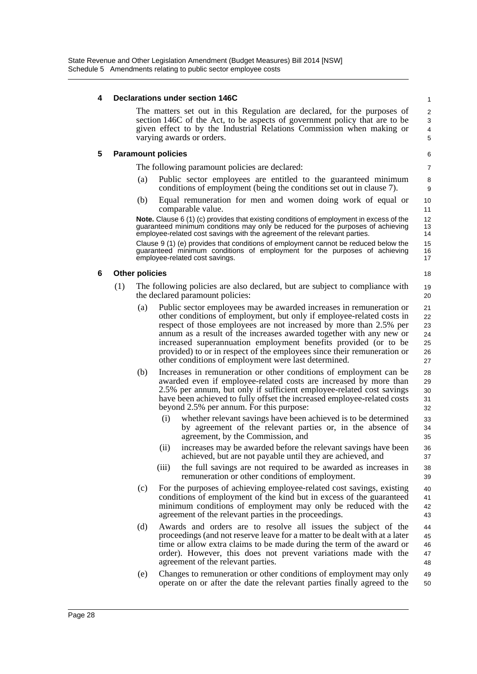### **4 Declarations under section 146C**

The matters set out in this Regulation are declared, for the purposes of section 146C of the Act, to be aspects of government policy that are to be given effect to by the Industrial Relations Commission when making or varying awards or orders.

### **5 Paramount policies**

The following paramount policies are declared:

- (a) Public sector employees are entitled to the guaranteed minimum conditions of employment (being the conditions set out in clause 7).
- (b) Equal remuneration for men and women doing work of equal or comparable value.

**Note.** Clause 6 (1) (c) provides that existing conditions of employment in excess of the guaranteed minimum conditions may only be reduced for the purposes of achieving employee-related cost savings with the agreement of the relevant parties.

Clause 9 (1) (e) provides that conditions of employment cannot be reduced below the guaranteed minimum conditions of employment for the purposes of achieving employee-related cost savings.

### **6 Other policies**

- (1) The following policies are also declared, but are subject to compliance with the declared paramount policies:
	- (a) Public sector employees may be awarded increases in remuneration or other conditions of employment, but only if employee-related costs in respect of those employees are not increased by more than 2.5% per annum as a result of the increases awarded together with any new or increased superannuation employment benefits provided (or to be provided) to or in respect of the employees since their remuneration or other conditions of employment were last determined. 21 22 23 24 25 26 27
	- (b) Increases in remuneration or other conditions of employment can be awarded even if employee-related costs are increased by more than 2.5% per annum, but only if sufficient employee-related cost savings have been achieved to fully offset the increased employee-related costs beyond 2.5% per annum. For this purpose: 28 29 30 31 32
		- (i) whether relevant savings have been achieved is to be determined by agreement of the relevant parties or, in the absence of agreement, by the Commission, and
		- (ii) increases may be awarded before the relevant savings have been achieved, but are not payable until they are achieved, and
		- (iii) the full savings are not required to be awarded as increases in remuneration or other conditions of employment.
	- (c) For the purposes of achieving employee-related cost savings, existing conditions of employment of the kind but in excess of the guaranteed minimum conditions of employment may only be reduced with the agreement of the relevant parties in the proceedings.  $40<sup>1</sup>$ 41 42 43
	- (d) Awards and orders are to resolve all issues the subject of the proceedings (and not reserve leave for a matter to be dealt with at a later time or allow extra claims to be made during the term of the award or order). However, this does not prevent variations made with the agreement of the relevant parties. 44 45 46 47 48
	- (e) Changes to remuneration or other conditions of employment may only operate on or after the date the relevant parties finally agreed to the 49 50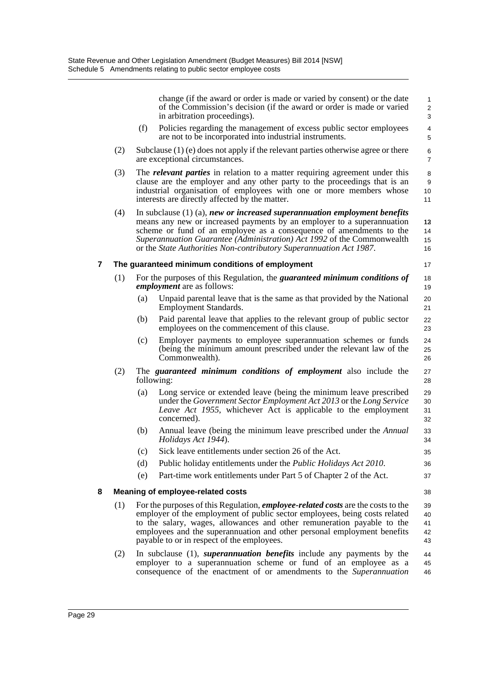|     |                                                |                                                                                                                                                                                                                                                                                                                                                                                 | change (if the award or order is made or varied by consent) or the date<br>of the Commission's decision (if the award or order is made or varied<br>in arbitration proceedings).                                          | $\mathbf{1}$<br>$\overline{2}$<br>3 |  |  |  |
|-----|------------------------------------------------|---------------------------------------------------------------------------------------------------------------------------------------------------------------------------------------------------------------------------------------------------------------------------------------------------------------------------------------------------------------------------------|---------------------------------------------------------------------------------------------------------------------------------------------------------------------------------------------------------------------------|-------------------------------------|--|--|--|
|     |                                                | (f)                                                                                                                                                                                                                                                                                                                                                                             | Policies regarding the management of excess public sector employees<br>are not to be incorporated into industrial instruments.                                                                                            | 4<br>$\mathbf 5$                    |  |  |  |
| (2) |                                                |                                                                                                                                                                                                                                                                                                                                                                                 | Subclause $(1)$ (e) does not apply if the relevant parties otherwise agree or there<br>are exceptional circumstances.                                                                                                     | 6<br>$\overline{7}$                 |  |  |  |
|     | (3)                                            | The <i>relevant parties</i> in relation to a matter requiring agreement under this<br>clause are the employer and any other party to the proceedings that is an<br>industrial organisation of employees with one or more members whose<br>10<br>interests are directly affected by the matter.<br>11                                                                            |                                                                                                                                                                                                                           |                                     |  |  |  |
|     | (4)                                            | In subclause $(1)$ $(a)$ , new or increased superannuation employment benefits<br>means any new or increased payments by an employer to a superannuation<br>scheme or fund of an employee as a consequence of amendments to the<br>Superannuation Guarantee (Administration) Act 1992 of the Commonwealth<br>or the State Authorities Non-contributory Superannuation Act 1987. |                                                                                                                                                                                                                           |                                     |  |  |  |
| 7   |                                                |                                                                                                                                                                                                                                                                                                                                                                                 | The guaranteed minimum conditions of employment                                                                                                                                                                           | 17                                  |  |  |  |
|     | (1)                                            |                                                                                                                                                                                                                                                                                                                                                                                 | For the purposes of this Regulation, the <i>guaranteed minimum conditions of</i><br><i>employment</i> are as follows:                                                                                                     |                                     |  |  |  |
|     |                                                | (a)                                                                                                                                                                                                                                                                                                                                                                             | Unpaid parental leave that is the same as that provided by the National<br>Employment Standards.                                                                                                                          | 20<br>21                            |  |  |  |
|     |                                                | (b)                                                                                                                                                                                                                                                                                                                                                                             | Paid parental leave that applies to the relevant group of public sector<br>employees on the commencement of this clause.                                                                                                  | 22<br>23                            |  |  |  |
|     |                                                | (c)                                                                                                                                                                                                                                                                                                                                                                             | Employer payments to employee superannuation schemes or funds<br>(being the minimum amount prescribed under the relevant law of the<br>Commonwealth).                                                                     | 24<br>25<br>26                      |  |  |  |
|     | (2)                                            | The <i>guaranteed</i> minimum conditions of employment also include the<br>following:                                                                                                                                                                                                                                                                                           |                                                                                                                                                                                                                           |                                     |  |  |  |
|     |                                                | (a)                                                                                                                                                                                                                                                                                                                                                                             | Long service or extended leave (being the minimum leave prescribed<br>under the Government Sector Employment Act 2013 or the Long Service<br>Leave Act 1955, whichever Act is applicable to the employment<br>concerned). | 29<br>30<br>31<br>32                |  |  |  |
|     |                                                | (b)                                                                                                                                                                                                                                                                                                                                                                             | Annual leave (being the minimum leave prescribed under the <i>Annual</i><br>Holidays Act 1944).                                                                                                                           | 33<br>34                            |  |  |  |
|     |                                                | (c)                                                                                                                                                                                                                                                                                                                                                                             | Sick leave entitlements under section 26 of the Act.                                                                                                                                                                      | 35                                  |  |  |  |
|     |                                                | (d)                                                                                                                                                                                                                                                                                                                                                                             | Public holiday entitlements under the <i>Public Holidays Act 2010</i> .                                                                                                                                                   | 36                                  |  |  |  |
|     |                                                | (e)                                                                                                                                                                                                                                                                                                                                                                             | Part-time work entitlements under Part 5 of Chapter 2 of the Act.                                                                                                                                                         | 37                                  |  |  |  |
| 8   | <b>Meaning of employee-related costs</b><br>38 |                                                                                                                                                                                                                                                                                                                                                                                 |                                                                                                                                                                                                                           |                                     |  |  |  |
|     | (1)                                            | For the purposes of this Regulation, <i>employee-related costs</i> are the costs to the<br>employer of the employment of public sector employees, being costs related<br>to the salary, wages, allowances and other remuneration payable to the<br>employees and the superannuation and other personal employment benefits<br>payable to or in respect of the employees.        |                                                                                                                                                                                                                           |                                     |  |  |  |
|     | (2)                                            |                                                                                                                                                                                                                                                                                                                                                                                 | In subclause $(1)$ , superannuation benefits include any payments by the<br>employer to a superannuation scheme or fund of an employee as a                                                                               | 44<br>45                            |  |  |  |

consequence of the enactment of or amendments to the *Superannuation*

46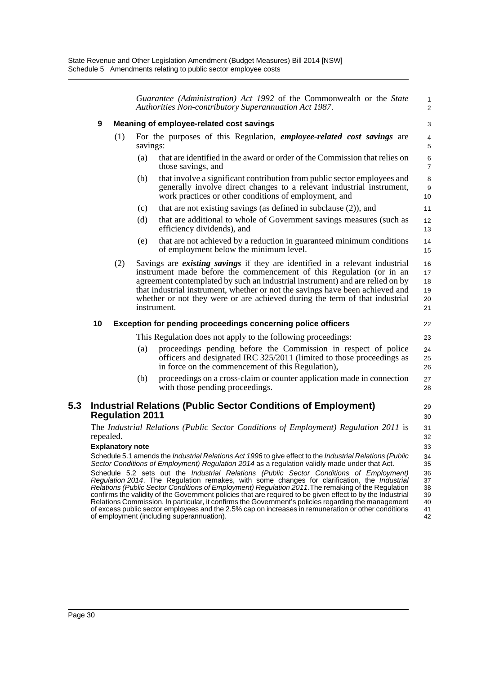*Guarantee (Administration) Act 1992* of the Commonwealth or the *State Authorities Non-contributory Superannuation Act 1987*.

1 2

22 23

27 28

## **9 Meaning of employee-related cost savings**

- (1) For the purposes of this Regulation, *employee-related cost savings* are savings:
	- (a) that are identified in the award or order of the Commission that relies on those savings, and
	- (b) that involve a significant contribution from public sector employees and generally involve direct changes to a relevant industrial instrument, work practices or other conditions of employment, and
	- (c) that are not existing savings (as defined in subclause (2)), and
	- (d) that are additional to whole of Government savings measures (such as efficiency dividends), and
	- (e) that are not achieved by a reduction in guaranteed minimum conditions of employment below the minimum level.
- (2) Savings are *existing savings* if they are identified in a relevant industrial instrument made before the commencement of this Regulation (or in an agreement contemplated by such an industrial instrument) and are relied on by that industrial instrument, whether or not the savings have been achieved and whether or not they were or are achieved during the term of that industrial instrument. 16 17 18 19 20 21

### **10 Exception for pending proceedings concerning police officers**

This Regulation does not apply to the following proceedings:

- (a) proceedings pending before the Commission in respect of police officers and designated IRC 325/2011 (limited to those proceedings as in force on the commencement of this Regulation),  $24$ 25 26
- (b) proceedings on a cross-claim or counter application made in connection with those pending proceedings.

## **5.3 Industrial Relations (Public Sector Conditions of Employment) Regulation 2011**

The *Industrial Relations (Public Sector Conditions of Employment) Regulation 2011* is repealed.

### **Explanatory note**

Schedule 5.1 amends the *Industrial Relations Act 1996* to give effect to the *Industrial Relations (Public Sector Conditions of Employment) Regulation 2014* as a regulation validly made under that Act.

Schedule 5.2 sets out the *Industrial Relations (Public Sector Conditions of Employment) Regulation 2014*. The Regulation remakes, with some changes for clarification, the *Industrial Relations (Public Sector Conditions of Employment) Regulation 2011*.The remaking of the Regulation confirms the validity of the Government policies that are required to be given effect to by the Industrial Relations Commission. In particular, it confirms the Government's policies regarding the management of excess public sector employees and the 2.5% cap on increases in remuneration or other conditions of employment (including superannuation). 36 37 38 39 40 41 42